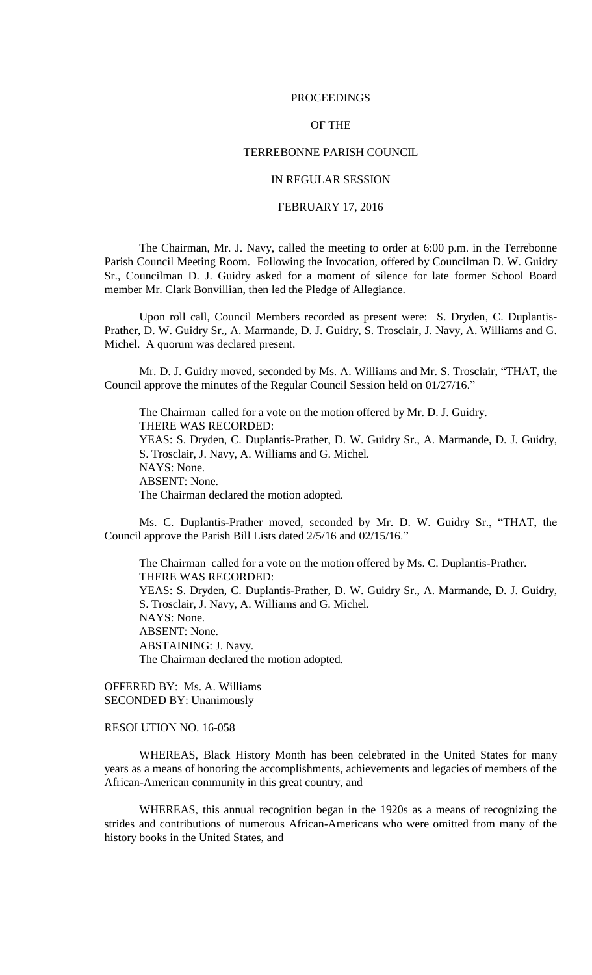#### PROCEEDINGS

## OF THE

#### TERREBONNE PARISH COUNCIL

## IN REGULAR SESSION

## FEBRUARY 17, 2016

The Chairman, Mr. J. Navy, called the meeting to order at 6:00 p.m. in the Terrebonne Parish Council Meeting Room. Following the Invocation, offered by Councilman D. W. Guidry Sr., Councilman D. J. Guidry asked for a moment of silence for late former School Board member Mr. Clark Bonvillian, then led the Pledge of Allegiance.

Upon roll call, Council Members recorded as present were: S. Dryden, C. Duplantis-Prather, D. W. Guidry Sr., A. Marmande, D. J. Guidry, S. Trosclair, J. Navy, A. Williams and G. Michel. A quorum was declared present.

Mr. D. J. Guidry moved, seconded by Ms. A. Williams and Mr. S. Trosclair, "THAT, the Council approve the minutes of the Regular Council Session held on 01/27/16."

The Chairman called for a vote on the motion offered by Mr. D. J. Guidry. THERE WAS RECORDED: YEAS: S. Dryden, C. Duplantis-Prather, D. W. Guidry Sr., A. Marmande, D. J. Guidry, S. Trosclair, J. Navy, A. Williams and G. Michel. NAYS: None. ABSENT: None. The Chairman declared the motion adopted.

Ms. C. Duplantis-Prather moved, seconded by Mr. D. W. Guidry Sr., "THAT, the Council approve the Parish Bill Lists dated 2/5/16 and 02/15/16."

The Chairman called for a vote on the motion offered by Ms. C. Duplantis-Prather. THERE WAS RECORDED: YEAS: S. Dryden, C. Duplantis-Prather, D. W. Guidry Sr., A. Marmande, D. J. Guidry, S. Trosclair, J. Navy, A. Williams and G. Michel. NAYS: None. ABSENT: None. ABSTAINING: J. Navy. The Chairman declared the motion adopted.

OFFERED BY: Ms. A. Williams SECONDED BY: Unanimously

## RESOLUTION NO. 16-058

WHEREAS, Black History Month has been celebrated in the United States for many years as a means of honoring the accomplishments, achievements and legacies of members of the African-American community in this great country, and

WHEREAS, this annual recognition began in the 1920s as a means of recognizing the strides and contributions of numerous African-Americans who were omitted from many of the history books in the United States, and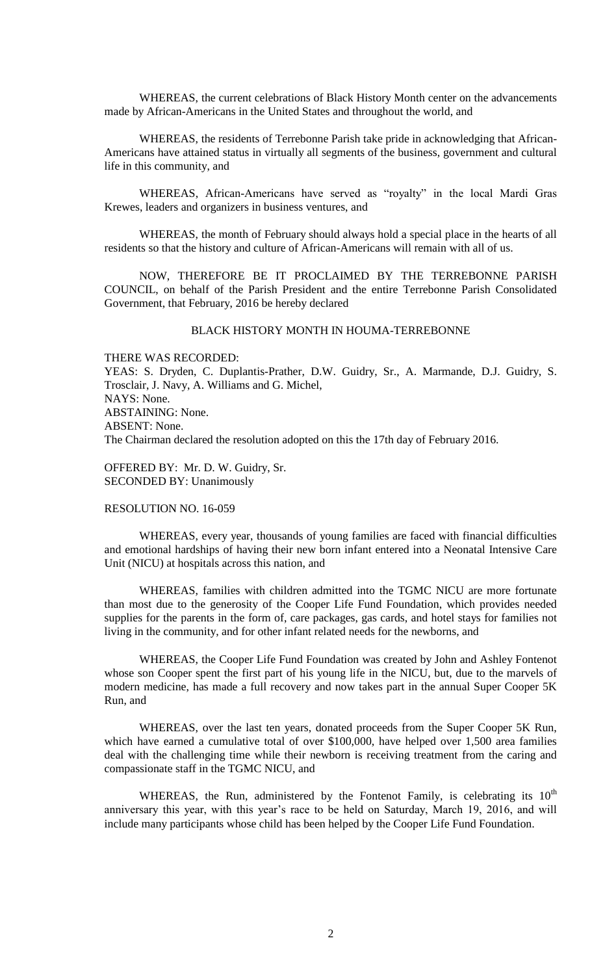WHEREAS, the current celebrations of Black History Month center on the advancements made by African-Americans in the United States and throughout the world, and

WHEREAS, the residents of Terrebonne Parish take pride in acknowledging that African-Americans have attained status in virtually all segments of the business, government and cultural life in this community, and

WHEREAS, African-Americans have served as "royalty" in the local Mardi Gras Krewes, leaders and organizers in business ventures, and

WHEREAS, the month of February should always hold a special place in the hearts of all residents so that the history and culture of African-Americans will remain with all of us.

NOW, THEREFORE BE IT PROCLAIMED BY THE TERREBONNE PARISH COUNCIL, on behalf of the Parish President and the entire Terrebonne Parish Consolidated Government, that February, 2016 be hereby declared

#### BLACK HISTORY MONTH IN HOUMA-TERREBONNE

THERE WAS RECORDED: YEAS: S. Dryden, C. Duplantis-Prather, D.W. Guidry, Sr., A. Marmande, D.J. Guidry, S. Trosclair, J. Navy, A. Williams and G. Michel, NAYS: None. ABSTAINING: None. ABSENT: None. The Chairman declared the resolution adopted on this the 17th day of February 2016.

OFFERED BY: Mr. D. W. Guidry, Sr. SECONDED BY: Unanimously

#### RESOLUTION NO. 16-059

WHEREAS, every year, thousands of young families are faced with financial difficulties and emotional hardships of having their new born infant entered into a Neonatal Intensive Care Unit (NICU) at hospitals across this nation, and

WHEREAS, families with children admitted into the TGMC NICU are more fortunate than most due to the generosity of the Cooper Life Fund Foundation, which provides needed supplies for the parents in the form of, care packages, gas cards, and hotel stays for families not living in the community, and for other infant related needs for the newborns, and

WHEREAS, the Cooper Life Fund Foundation was created by John and Ashley Fontenot whose son Cooper spent the first part of his young life in the NICU, but, due to the marvels of modern medicine, has made a full recovery and now takes part in the annual Super Cooper 5K Run, and

WHEREAS, over the last ten years, donated proceeds from the Super Cooper 5K Run, which have earned a cumulative total of over \$100,000, have helped over 1,500 area families deal with the challenging time while their newborn is receiving treatment from the caring and compassionate staff in the TGMC NICU, and

WHEREAS, the Run, administered by the Fontenot Family, is celebrating its  $10^{th}$ anniversary this year, with this year's race to be held on Saturday, March 19, 2016, and will include many participants whose child has been helped by the Cooper Life Fund Foundation.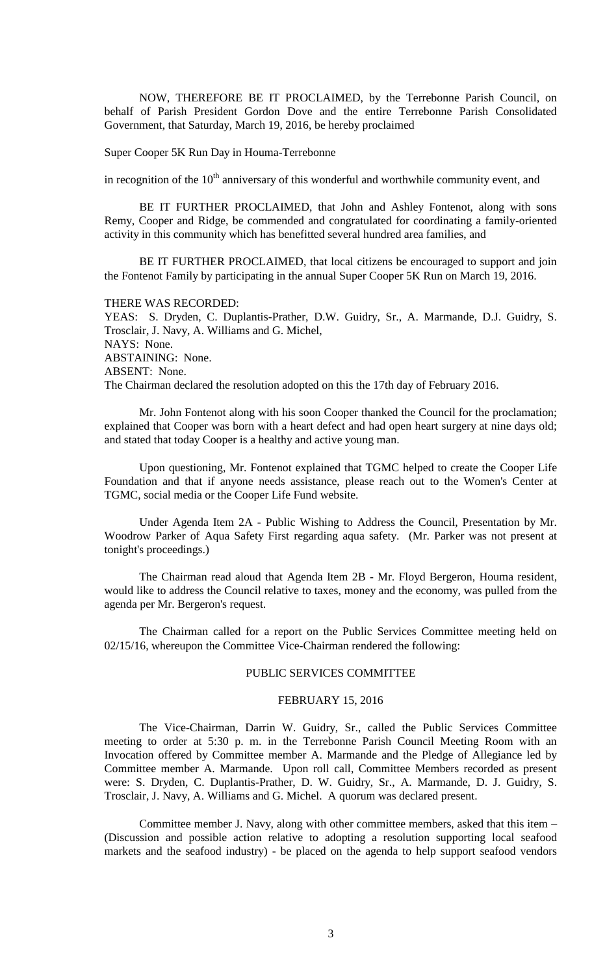NOW, THEREFORE BE IT PROCLAIMED, by the Terrebonne Parish Council, on behalf of Parish President Gordon Dove and the entire Terrebonne Parish Consolidated Government, that Saturday, March 19, 2016, be hereby proclaimed

Super Cooper 5K Run Day in Houma-Terrebonne

in recognition of the  $10<sup>th</sup>$  anniversary of this wonderful and worthwhile community event, and

BE IT FURTHER PROCLAIMED, that John and Ashley Fontenot, along with sons Remy, Cooper and Ridge, be commended and congratulated for coordinating a family-oriented activity in this community which has benefitted several hundred area families, and

BE IT FURTHER PROCLAIMED, that local citizens be encouraged to support and join the Fontenot Family by participating in the annual Super Cooper 5K Run on March 19, 2016.

#### THERE WAS RECORDED:

YEAS: S. Dryden, C. Duplantis-Prather, D.W. Guidry, Sr., A. Marmande, D.J. Guidry, S. Trosclair, J. Navy, A. Williams and G. Michel, NAYS: None. ABSTAINING: None. ABSENT: None. The Chairman declared the resolution adopted on this the 17th day of February 2016.

Mr. John Fontenot along with his soon Cooper thanked the Council for the proclamation; explained that Cooper was born with a heart defect and had open heart surgery at nine days old; and stated that today Cooper is a healthy and active young man.

Upon questioning, Mr. Fontenot explained that TGMC helped to create the Cooper Life Foundation and that if anyone needs assistance, please reach out to the Women's Center at TGMC, social media or the Cooper Life Fund website.

Under Agenda Item 2A - Public Wishing to Address the Council, Presentation by Mr. Woodrow Parker of Aqua Safety First regarding aqua safety. (Mr. Parker was not present at tonight's proceedings.)

The Chairman read aloud that Agenda Item 2B - Mr. Floyd Bergeron, Houma resident, would like to address the Council relative to taxes, money and the economy, was pulled from the agenda per Mr. Bergeron's request.

The Chairman called for a report on the Public Services Committee meeting held on 02/15/16, whereupon the Committee Vice-Chairman rendered the following:

#### PUBLIC SERVICES COMMITTEE

#### FEBRUARY 15, 2016

The Vice-Chairman, Darrin W. Guidry, Sr., called the Public Services Committee meeting to order at 5:30 p. m. in the Terrebonne Parish Council Meeting Room with an Invocation offered by Committee member A. Marmande and the Pledge of Allegiance led by Committee member A. Marmande. Upon roll call, Committee Members recorded as present were: S. Dryden, C. Duplantis-Prather, D. W. Guidry, Sr., A. Marmande, D. J. Guidry, S. Trosclair, J. Navy, A. Williams and G. Michel. A quorum was declared present.

Committee member J. Navy, along with other committee members, asked that this item – (Discussion and possible action relative to adopting a resolution supporting local seafood markets and the seafood industry) - be placed on the agenda to help support seafood vendors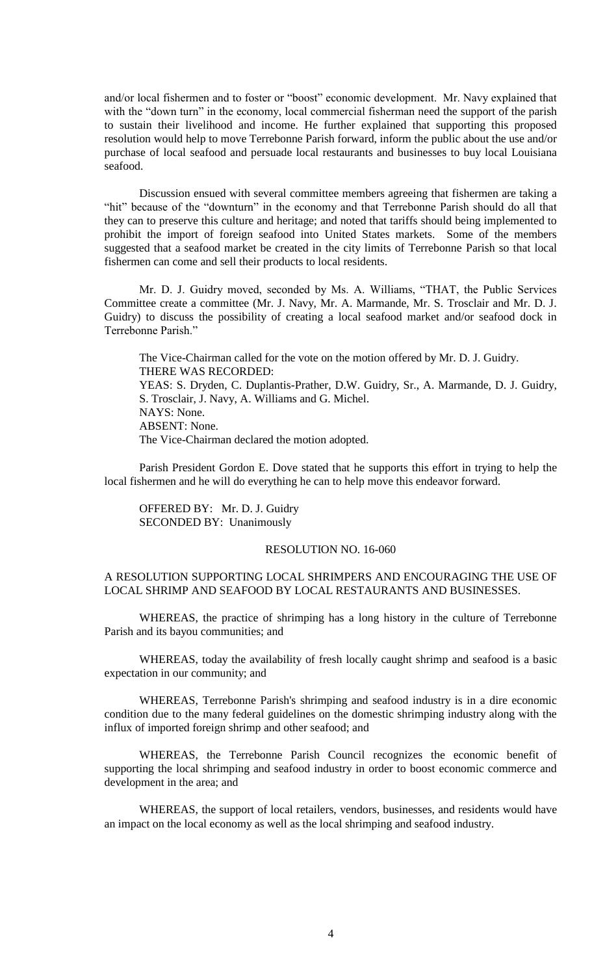and/or local fishermen and to foster or "boost" economic development. Mr. Navy explained that with the "down turn" in the economy, local commercial fisherman need the support of the parish to sustain their livelihood and income. He further explained that supporting this proposed resolution would help to move Terrebonne Parish forward, inform the public about the use and/or purchase of local seafood and persuade local restaurants and businesses to buy local Louisiana seafood.

Discussion ensued with several committee members agreeing that fishermen are taking a "hit" because of the "downturn" in the economy and that Terrebonne Parish should do all that they can to preserve this culture and heritage; and noted that tariffs should being implemented to prohibit the import of foreign seafood into United States markets. Some of the members suggested that a seafood market be created in the city limits of Terrebonne Parish so that local fishermen can come and sell their products to local residents.

Mr. D. J. Guidry moved, seconded by Ms. A. Williams, "THAT, the Public Services Committee create a committee (Mr. J. Navy, Mr. A. Marmande, Mr. S. Trosclair and Mr. D. J. Guidry) to discuss the possibility of creating a local seafood market and/or seafood dock in Terrebonne Parish."

The Vice-Chairman called for the vote on the motion offered by Mr. D. J. Guidry. THERE WAS RECORDED: YEAS: S. Dryden, C. Duplantis-Prather, D.W. Guidry, Sr., A. Marmande, D. J. Guidry, S. Trosclair, J. Navy, A. Williams and G. Michel. NAYS: None. ABSENT: None. The Vice-Chairman declared the motion adopted.

Parish President Gordon E. Dove stated that he supports this effort in trying to help the local fishermen and he will do everything he can to help move this endeavor forward.

OFFERED BY: Mr. D. J. Guidry SECONDED BY: Unanimously

## RESOLUTION NO. 16-060

## A RESOLUTION SUPPORTING LOCAL SHRIMPERS AND ENCOURAGING THE USE OF LOCAL SHRIMP AND SEAFOOD BY LOCAL RESTAURANTS AND BUSINESSES.

WHEREAS, the practice of shrimping has a long history in the culture of Terrebonne Parish and its bayou communities; and

WHEREAS, today the availability of fresh locally caught shrimp and seafood is a basic expectation in our community; and

WHEREAS, Terrebonne Parish's shrimping and seafood industry is in a dire economic condition due to the many federal guidelines on the domestic shrimping industry along with the influx of imported foreign shrimp and other seafood; and

WHEREAS, the Terrebonne Parish Council recognizes the economic benefit of supporting the local shrimping and seafood industry in order to boost economic commerce and development in the area; and

WHEREAS, the support of local retailers, vendors, businesses, and residents would have an impact on the local economy as well as the local shrimping and seafood industry.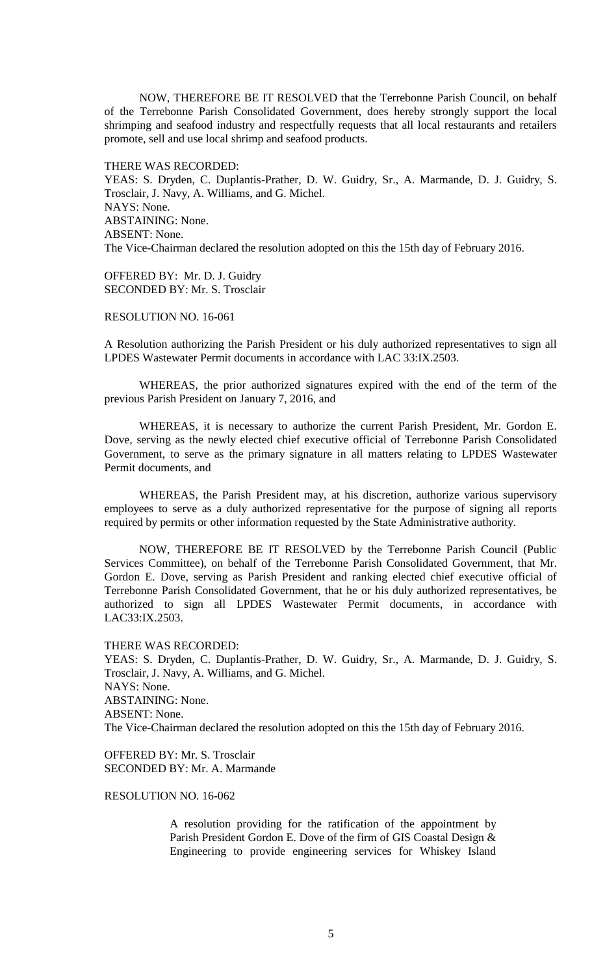NOW, THEREFORE BE IT RESOLVED that the Terrebonne Parish Council, on behalf of the Terrebonne Parish Consolidated Government, does hereby strongly support the local shrimping and seafood industry and respectfully requests that all local restaurants and retailers promote, sell and use local shrimp and seafood products.

THERE WAS RECORDED:

YEAS: S. Dryden, C. Duplantis-Prather, D. W. Guidry, Sr., A. Marmande, D. J. Guidry, S. Trosclair, J. Navy, A. Williams, and G. Michel. NAYS: None. ABSTAINING: None. ABSENT: None. The Vice-Chairman declared the resolution adopted on this the 15th day of February 2016.

OFFERED BY: Mr. D. J. Guidry SECONDED BY: Mr. S. Trosclair

## RESOLUTION NO. 16-061

A Resolution authorizing the Parish President or his duly authorized representatives to sign all LPDES Wastewater Permit documents in accordance with LAC 33:IX.2503.

WHEREAS, the prior authorized signatures expired with the end of the term of the previous Parish President on January 7, 2016, and

WHEREAS, it is necessary to authorize the current Parish President, Mr. Gordon E. Dove, serving as the newly elected chief executive official of Terrebonne Parish Consolidated Government, to serve as the primary signature in all matters relating to LPDES Wastewater Permit documents, and

WHEREAS, the Parish President may, at his discretion, authorize various supervisory employees to serve as a duly authorized representative for the purpose of signing all reports required by permits or other information requested by the State Administrative authority.

NOW, THEREFORE BE IT RESOLVED by the Terrebonne Parish Council (Public Services Committee), on behalf of the Terrebonne Parish Consolidated Government, that Mr. Gordon E. Dove, serving as Parish President and ranking elected chief executive official of Terrebonne Parish Consolidated Government, that he or his duly authorized representatives, be authorized to sign all LPDES Wastewater Permit documents, in accordance with LAC33:IX.2503.

THERE WAS RECORDED:

YEAS: S. Dryden, C. Duplantis-Prather, D. W. Guidry, Sr., A. Marmande, D. J. Guidry, S. Trosclair, J. Navy, A. Williams, and G. Michel. NAYS: None. ABSTAINING: None. ABSENT: None. The Vice-Chairman declared the resolution adopted on this the 15th day of February 2016.

OFFERED BY: Mr. S. Trosclair SECONDED BY: Mr. A. Marmande

#### RESOLUTION NO. 16-062

A resolution providing for the ratification of the appointment by Parish President Gordon E. Dove of the firm of GIS Coastal Design & Engineering to provide engineering services for Whiskey Island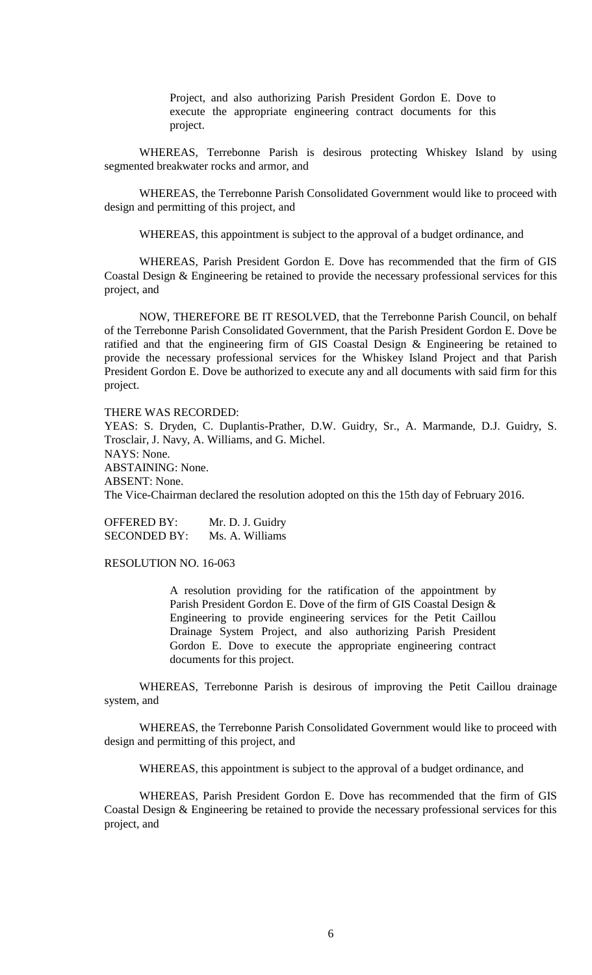Project, and also authorizing Parish President Gordon E. Dove to execute the appropriate engineering contract documents for this project.

WHEREAS, Terrebonne Parish is desirous protecting Whiskey Island by using segmented breakwater rocks and armor, and

WHEREAS, the Terrebonne Parish Consolidated Government would like to proceed with design and permitting of this project, and

WHEREAS, this appointment is subject to the approval of a budget ordinance, and

WHEREAS, Parish President Gordon E. Dove has recommended that the firm of GIS Coastal Design & Engineering be retained to provide the necessary professional services for this project, and

NOW, THEREFORE BE IT RESOLVED, that the Terrebonne Parish Council, on behalf of the Terrebonne Parish Consolidated Government, that the Parish President Gordon E. Dove be ratified and that the engineering firm of GIS Coastal Design & Engineering be retained to provide the necessary professional services for the Whiskey Island Project and that Parish President Gordon E. Dove be authorized to execute any and all documents with said firm for this project.

THERE WAS RECORDED:

YEAS: S. Dryden, C. Duplantis-Prather, D.W. Guidry, Sr., A. Marmande, D.J. Guidry, S. Trosclair, J. Navy, A. Williams, and G. Michel. NAYS: None. ABSTAINING: None. ABSENT: None. The Vice-Chairman declared the resolution adopted on this the 15th day of February 2016.

OFFERED BY: Mr. D. J. Guidry SECONDED BY: Ms. A. Williams

RESOLUTION NO. 16-063

A resolution providing for the ratification of the appointment by Parish President Gordon E. Dove of the firm of GIS Coastal Design & Engineering to provide engineering services for the Petit Caillou Drainage System Project, and also authorizing Parish President Gordon E. Dove to execute the appropriate engineering contract documents for this project.

WHEREAS, Terrebonne Parish is desirous of improving the Petit Caillou drainage system, and

WHEREAS, the Terrebonne Parish Consolidated Government would like to proceed with design and permitting of this project, and

WHEREAS, this appointment is subject to the approval of a budget ordinance, and

WHEREAS, Parish President Gordon E. Dove has recommended that the firm of GIS Coastal Design & Engineering be retained to provide the necessary professional services for this project, and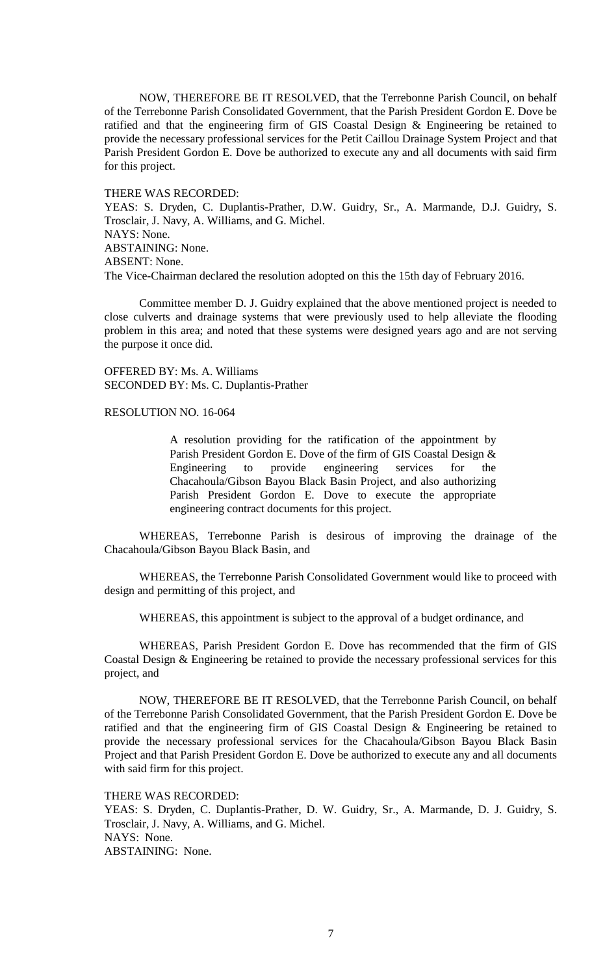NOW, THEREFORE BE IT RESOLVED, that the Terrebonne Parish Council, on behalf of the Terrebonne Parish Consolidated Government, that the Parish President Gordon E. Dove be ratified and that the engineering firm of GIS Coastal Design & Engineering be retained to provide the necessary professional services for the Petit Caillou Drainage System Project and that Parish President Gordon E. Dove be authorized to execute any and all documents with said firm for this project.

#### THERE WAS RECORDED:

YEAS: S. Dryden, C. Duplantis-Prather, D.W. Guidry, Sr., A. Marmande, D.J. Guidry, S. Trosclair, J. Navy, A. Williams, and G. Michel. NAYS: None. ABSTAINING: None. ABSENT: None. The Vice-Chairman declared the resolution adopted on this the 15th day of February 2016.

Committee member D. J. Guidry explained that the above mentioned project is needed to close culverts and drainage systems that were previously used to help alleviate the flooding problem in this area; and noted that these systems were designed years ago and are not serving the purpose it once did.

OFFERED BY: Ms. A. Williams SECONDED BY: Ms. C. Duplantis-Prather

#### RESOLUTION NO. 16-064

A resolution providing for the ratification of the appointment by Parish President Gordon E. Dove of the firm of GIS Coastal Design & Engineering to provide engineering services for the Chacahoula/Gibson Bayou Black Basin Project, and also authorizing Parish President Gordon E. Dove to execute the appropriate engineering contract documents for this project.

WHEREAS, Terrebonne Parish is desirous of improving the drainage of the Chacahoula/Gibson Bayou Black Basin, and

WHEREAS, the Terrebonne Parish Consolidated Government would like to proceed with design and permitting of this project, and

WHEREAS, this appointment is subject to the approval of a budget ordinance, and

WHEREAS, Parish President Gordon E. Dove has recommended that the firm of GIS Coastal Design & Engineering be retained to provide the necessary professional services for this project, and

NOW, THEREFORE BE IT RESOLVED, that the Terrebonne Parish Council, on behalf of the Terrebonne Parish Consolidated Government, that the Parish President Gordon E. Dove be ratified and that the engineering firm of GIS Coastal Design & Engineering be retained to provide the necessary professional services for the Chacahoula/Gibson Bayou Black Basin Project and that Parish President Gordon E. Dove be authorized to execute any and all documents with said firm for this project.

THERE WAS RECORDED:

YEAS: S. Dryden, C. Duplantis-Prather, D. W. Guidry, Sr., A. Marmande, D. J. Guidry, S. Trosclair, J. Navy, A. Williams, and G. Michel. NAYS: None. ABSTAINING: None.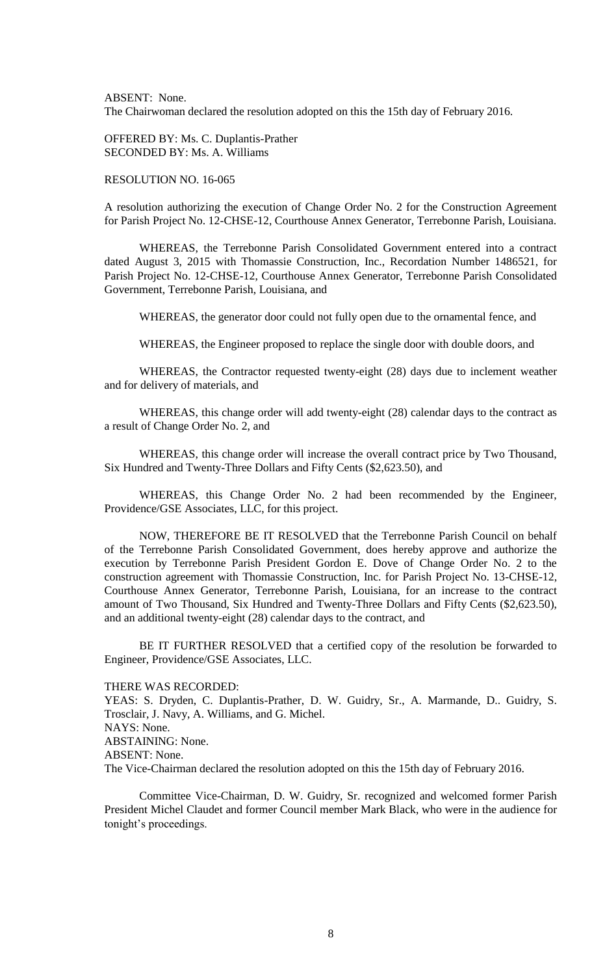ABSENT: None. The Chairwoman declared the resolution adopted on this the 15th day of February 2016.

OFFERED BY: Ms. C. Duplantis-Prather SECONDED BY: Ms. A. Williams

RESOLUTION NO. 16-065

A resolution authorizing the execution of Change Order No. 2 for the Construction Agreement for Parish Project No. 12-CHSE-12, Courthouse Annex Generator, Terrebonne Parish, Louisiana.

WHEREAS, the Terrebonne Parish Consolidated Government entered into a contract dated August 3, 2015 with Thomassie Construction, Inc., Recordation Number 1486521, for Parish Project No. 12-CHSE-12, Courthouse Annex Generator, Terrebonne Parish Consolidated Government, Terrebonne Parish, Louisiana, and

WHEREAS, the generator door could not fully open due to the ornamental fence, and

WHEREAS, the Engineer proposed to replace the single door with double doors, and

WHEREAS, the Contractor requested twenty-eight (28) days due to inclement weather and for delivery of materials, and

WHEREAS, this change order will add twenty-eight (28) calendar days to the contract as a result of Change Order No. 2, and

WHEREAS, this change order will increase the overall contract price by Two Thousand, Six Hundred and Twenty-Three Dollars and Fifty Cents (\$2,623.50), and

WHEREAS, this Change Order No. 2 had been recommended by the Engineer, Providence/GSE Associates, LLC, for this project.

NOW, THEREFORE BE IT RESOLVED that the Terrebonne Parish Council on behalf of the Terrebonne Parish Consolidated Government, does hereby approve and authorize the execution by Terrebonne Parish President Gordon E. Dove of Change Order No. 2 to the construction agreement with Thomassie Construction, Inc. for Parish Project No. 13-CHSE-12, Courthouse Annex Generator, Terrebonne Parish, Louisiana, for an increase to the contract amount of Two Thousand, Six Hundred and Twenty-Three Dollars and Fifty Cents (\$2,623.50), and an additional twenty-eight (28) calendar days to the contract, and

BE IT FURTHER RESOLVED that a certified copy of the resolution be forwarded to Engineer, Providence/GSE Associates, LLC.

THERE WAS RECORDED:

YEAS: S. Dryden, C. Duplantis-Prather, D. W. Guidry, Sr., A. Marmande, D.. Guidry, S. Trosclair, J. Navy, A. Williams, and G. Michel. NAYS: None. ABSTAINING: None. ABSENT: None. The Vice-Chairman declared the resolution adopted on this the 15th day of February 2016.

Committee Vice-Chairman, D. W. Guidry, Sr. recognized and welcomed former Parish President Michel Claudet and former Council member Mark Black, who were in the audience for tonight's proceedings.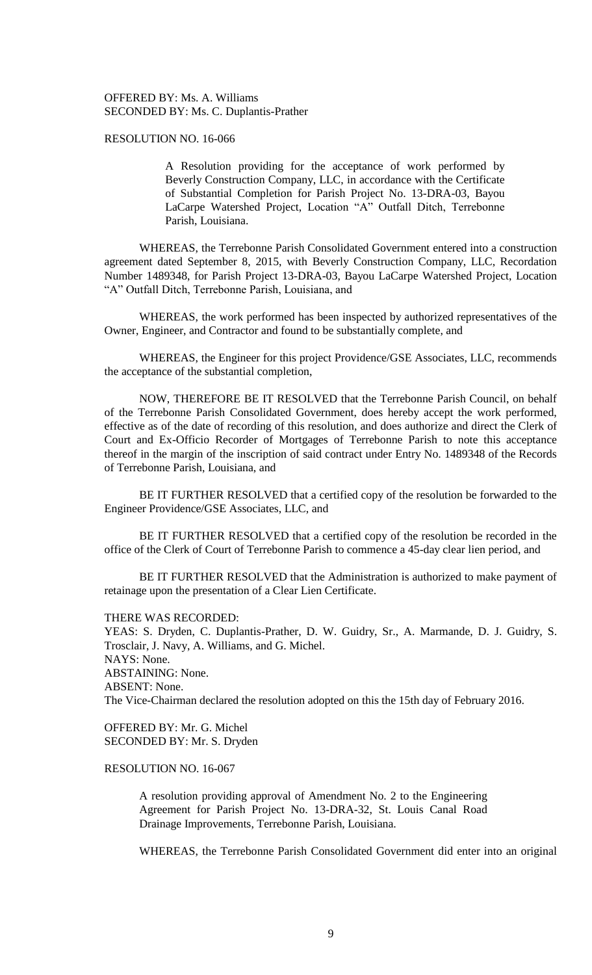OFFERED BY: Ms. A. Williams SECONDED BY: Ms. C. Duplantis-Prather

#### RESOLUTION NO. 16-066

A Resolution providing for the acceptance of work performed by Beverly Construction Company, LLC, in accordance with the Certificate of Substantial Completion for Parish Project No. 13-DRA-03, Bayou LaCarpe Watershed Project, Location "A" Outfall Ditch, Terrebonne Parish, Louisiana.

WHEREAS, the Terrebonne Parish Consolidated Government entered into a construction agreement dated September 8, 2015, with Beverly Construction Company, LLC, Recordation Number 1489348, for Parish Project 13-DRA-03, Bayou LaCarpe Watershed Project, Location "A" Outfall Ditch, Terrebonne Parish, Louisiana, and

WHEREAS, the work performed has been inspected by authorized representatives of the Owner, Engineer, and Contractor and found to be substantially complete, and

WHEREAS, the Engineer for this project Providence/GSE Associates, LLC, recommends the acceptance of the substantial completion,

NOW, THEREFORE BE IT RESOLVED that the Terrebonne Parish Council, on behalf of the Terrebonne Parish Consolidated Government, does hereby accept the work performed, effective as of the date of recording of this resolution, and does authorize and direct the Clerk of Court and Ex-Officio Recorder of Mortgages of Terrebonne Parish to note this acceptance thereof in the margin of the inscription of said contract under Entry No. 1489348 of the Records of Terrebonne Parish, Louisiana, and

BE IT FURTHER RESOLVED that a certified copy of the resolution be forwarded to the Engineer Providence/GSE Associates, LLC, and

BE IT FURTHER RESOLVED that a certified copy of the resolution be recorded in the office of the Clerk of Court of Terrebonne Parish to commence a 45-day clear lien period, and

BE IT FURTHER RESOLVED that the Administration is authorized to make payment of retainage upon the presentation of a Clear Lien Certificate.

#### THERE WAS RECORDED:

YEAS: S. Dryden, C. Duplantis-Prather, D. W. Guidry, Sr., A. Marmande, D. J. Guidry, S. Trosclair, J. Navy, A. Williams, and G. Michel. NAYS: None. ABSTAINING: None. ABSENT: None. The Vice-Chairman declared the resolution adopted on this the 15th day of February 2016.

OFFERED BY: Mr. G. Michel SECONDED BY: Mr. S. Dryden

## RESOLUTION NO. 16-067

A resolution providing approval of Amendment No. 2 to the Engineering Agreement for Parish Project No. 13-DRA-32, St. Louis Canal Road Drainage Improvements, Terrebonne Parish, Louisiana.

WHEREAS, the Terrebonne Parish Consolidated Government did enter into an original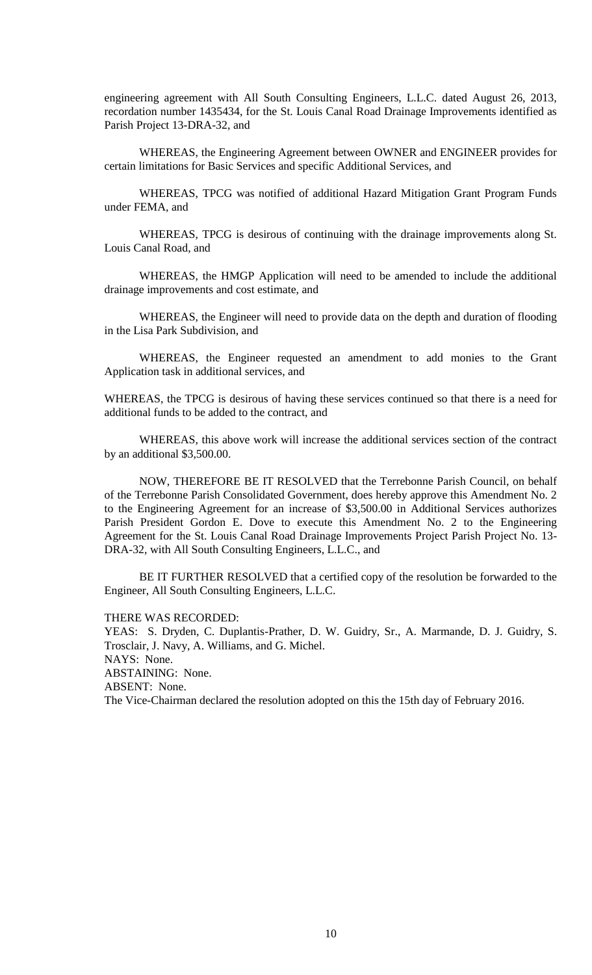engineering agreement with All South Consulting Engineers, L.L.C. dated August 26, 2013, recordation number 1435434, for the St. Louis Canal Road Drainage Improvements identified as Parish Project 13-DRA-32, and

WHEREAS, the Engineering Agreement between OWNER and ENGINEER provides for certain limitations for Basic Services and specific Additional Services, and

WHEREAS, TPCG was notified of additional Hazard Mitigation Grant Program Funds under FEMA, and

WHEREAS, TPCG is desirous of continuing with the drainage improvements along St. Louis Canal Road, and

WHEREAS, the HMGP Application will need to be amended to include the additional drainage improvements and cost estimate, and

WHEREAS, the Engineer will need to provide data on the depth and duration of flooding in the Lisa Park Subdivision, and

WHEREAS, the Engineer requested an amendment to add monies to the Grant Application task in additional services, and

WHEREAS, the TPCG is desirous of having these services continued so that there is a need for additional funds to be added to the contract, and

WHEREAS, this above work will increase the additional services section of the contract by an additional \$3,500.00.

NOW, THEREFORE BE IT RESOLVED that the Terrebonne Parish Council, on behalf of the Terrebonne Parish Consolidated Government, does hereby approve this Amendment No. 2 to the Engineering Agreement for an increase of \$3,500.00 in Additional Services authorizes Parish President Gordon E. Dove to execute this Amendment No. 2 to the Engineering Agreement for the St. Louis Canal Road Drainage Improvements Project Parish Project No. 13- DRA-32, with All South Consulting Engineers, L.L.C., and

BE IT FURTHER RESOLVED that a certified copy of the resolution be forwarded to the Engineer, All South Consulting Engineers, L.L.C.

THERE WAS RECORDED:

YEAS: S. Dryden, C. Duplantis-Prather, D. W. Guidry, Sr., A. Marmande, D. J. Guidry, S. Trosclair, J. Navy, A. Williams, and G. Michel. NAYS: None. ABSTAINING: None. ABSENT: None. The Vice-Chairman declared the resolution adopted on this the 15th day of February 2016.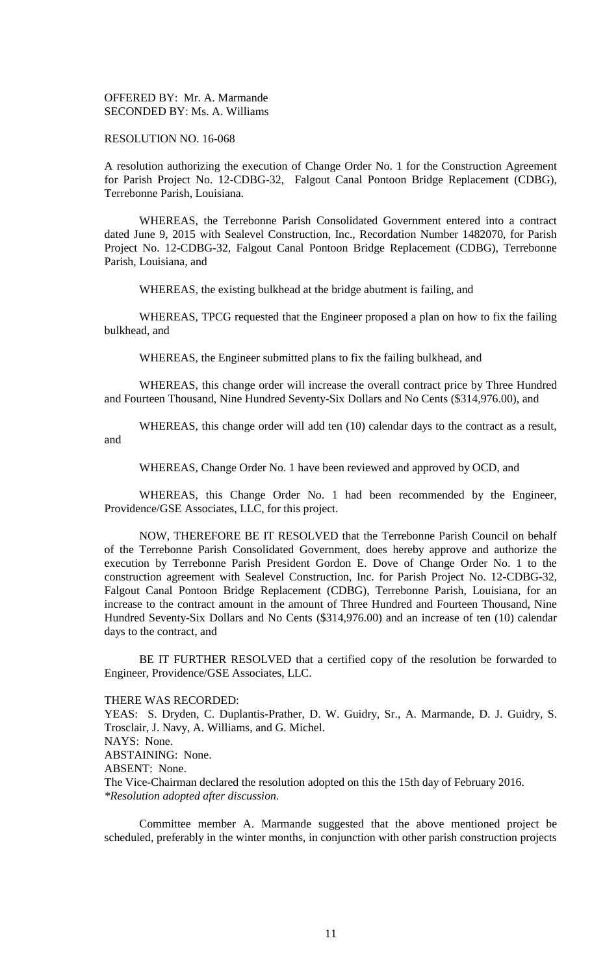OFFERED BY: Mr. A. Marmande SECONDED BY: Ms. A. Williams

#### RESOLUTION NO. 16-068

A resolution authorizing the execution of Change Order No. 1 for the Construction Agreement for Parish Project No. 12-CDBG-32, Falgout Canal Pontoon Bridge Replacement (CDBG), Terrebonne Parish, Louisiana.

WHEREAS, the Terrebonne Parish Consolidated Government entered into a contract dated June 9, 2015 with Sealevel Construction, Inc., Recordation Number 1482070, for Parish Project No. 12-CDBG-32, Falgout Canal Pontoon Bridge Replacement (CDBG), Terrebonne Parish, Louisiana, and

WHEREAS, the existing bulkhead at the bridge abutment is failing, and

WHEREAS, TPCG requested that the Engineer proposed a plan on how to fix the failing bulkhead, and

WHEREAS, the Engineer submitted plans to fix the failing bulkhead, and

WHEREAS, this change order will increase the overall contract price by Three Hundred and Fourteen Thousand, Nine Hundred Seventy-Six Dollars and No Cents (\$314,976.00), and

WHEREAS, this change order will add ten (10) calendar days to the contract as a result, and

WHEREAS, Change Order No. 1 have been reviewed and approved by OCD, and

WHEREAS, this Change Order No. 1 had been recommended by the Engineer, Providence/GSE Associates, LLC, for this project.

NOW, THEREFORE BE IT RESOLVED that the Terrebonne Parish Council on behalf of the Terrebonne Parish Consolidated Government, does hereby approve and authorize the execution by Terrebonne Parish President Gordon E. Dove of Change Order No. 1 to the construction agreement with Sealevel Construction, Inc. for Parish Project No. 12-CDBG-32, Falgout Canal Pontoon Bridge Replacement (CDBG), Terrebonne Parish, Louisiana, for an increase to the contract amount in the amount of Three Hundred and Fourteen Thousand, Nine Hundred Seventy-Six Dollars and No Cents (\$314,976.00) and an increase of ten (10) calendar days to the contract, and

BE IT FURTHER RESOLVED that a certified copy of the resolution be forwarded to Engineer, Providence/GSE Associates, LLC.

## THERE WAS RECORDED:

YEAS: S. Dryden, C. Duplantis-Prather, D. W. Guidry, Sr., A. Marmande, D. J. Guidry, S. Trosclair, J. Navy, A. Williams, and G. Michel. NAYS: None.

ABSTAINING: None.

ABSENT: None.

The Vice-Chairman declared the resolution adopted on this the 15th day of February 2016. *\*Resolution adopted after discussion.*

Committee member A. Marmande suggested that the above mentioned project be scheduled, preferably in the winter months, in conjunction with other parish construction projects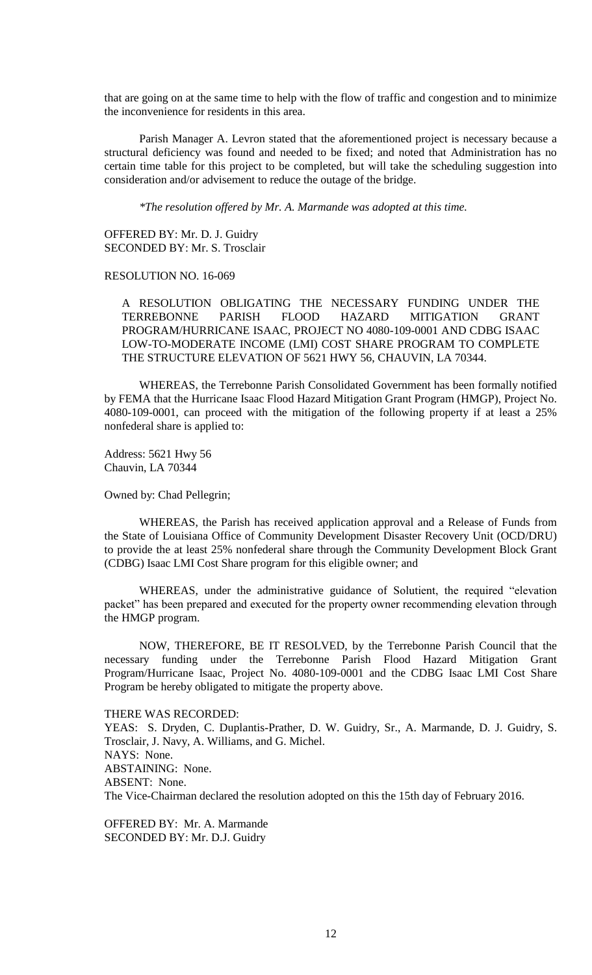that are going on at the same time to help with the flow of traffic and congestion and to minimize the inconvenience for residents in this area.

Parish Manager A. Levron stated that the aforementioned project is necessary because a structural deficiency was found and needed to be fixed; and noted that Administration has no certain time table for this project to be completed, but will take the scheduling suggestion into consideration and/or advisement to reduce the outage of the bridge.

*\*The resolution offered by Mr. A. Marmande was adopted at this time.*

OFFERED BY: Mr. D. J. Guidry SECONDED BY: Mr. S. Trosclair

#### RESOLUTION NO. 16-069

A RESOLUTION OBLIGATING THE NECESSARY FUNDING UNDER THE TERREBONNE PARISH FLOOD HAZARD MITIGATION GRANT PROGRAM/HURRICANE ISAAC, PROJECT NO 4080-109-0001 AND CDBG ISAAC LOW-TO-MODERATE INCOME (LMI) COST SHARE PROGRAM TO COMPLETE THE STRUCTURE ELEVATION OF 5621 HWY 56, CHAUVIN, LA 70344.

WHEREAS, the Terrebonne Parish Consolidated Government has been formally notified by FEMA that the Hurricane Isaac Flood Hazard Mitigation Grant Program (HMGP), Project No. 4080-109-0001, can proceed with the mitigation of the following property if at least a 25% nonfederal share is applied to:

Address: 5621 Hwy 56 Chauvin, LA 70344

Owned by: Chad Pellegrin;

WHEREAS, the Parish has received application approval and a Release of Funds from the State of Louisiana Office of Community Development Disaster Recovery Unit (OCD/DRU) to provide the at least 25% nonfederal share through the Community Development Block Grant (CDBG) Isaac LMI Cost Share program for this eligible owner; and

WHEREAS, under the administrative guidance of Solutient, the required "elevation packet" has been prepared and executed for the property owner recommending elevation through the HMGP program.

NOW, THEREFORE, BE IT RESOLVED, by the Terrebonne Parish Council that the necessary funding under the Terrebonne Parish Flood Hazard Mitigation Grant Program/Hurricane Isaac, Project No. 4080-109-0001 and the CDBG Isaac LMI Cost Share Program be hereby obligated to mitigate the property above.

THERE WAS RECORDED:

YEAS: S. Dryden, C. Duplantis-Prather, D. W. Guidry, Sr., A. Marmande, D. J. Guidry, S. Trosclair, J. Navy, A. Williams, and G. Michel. NAYS: None. ABSTAINING: None. ABSENT: None. The Vice-Chairman declared the resolution adopted on this the 15th day of February 2016.

OFFERED BY: Mr. A. Marmande SECONDED BY: Mr. D.J. Guidry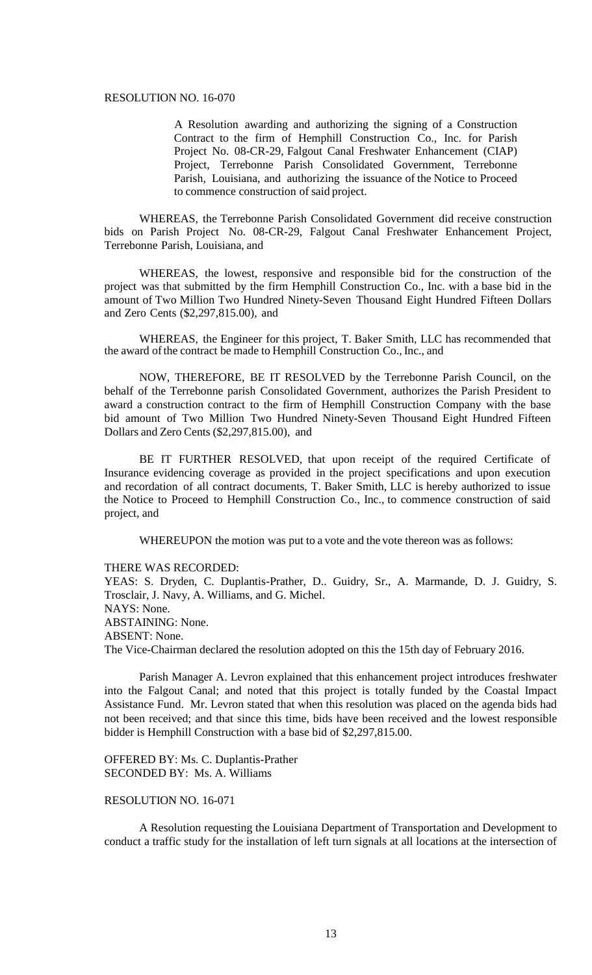#### RESOLUTION NO. 16-070

A Resolution awarding and authorizing the signing of a Construction Contract to the firm of Hemphill Construction Co., Inc. for Parish Project No. 08-CR-29, Falgout Canal Freshwater Enhancement (CIAP) Project, Terrebonne Parish Consolidated Government, Terrebonne Parish, Louisiana, and authorizing the issuance of the Notice to Proceed to commence construction of said project.

WHEREAS, the Terrebonne Parish Consolidated Government did receive construction bids on Parish Project No. 08-CR-29, Falgout Canal Freshwater Enhancement Project, Terrebonne Parish, Louisiana, and

WHEREAS, the lowest, responsive and responsible bid for the construction of the project was that submitted by the firm Hemphill Construction Co., Inc. with a base bid in the amount of Two Million Two Hundred Ninety-Seven Thousand Eight Hundred Fifteen Dollars and Zero Cents (\$2,297,815.00), and

WHEREAS, the Engineer for this project, T. Baker Smith, LLC has recommended that the award ofthe contract be made to Hemphill Construction Co., Inc., and

NOW, THEREFORE, BE IT RESOLVED by the Terrebonne Parish Council, on the behalf of the Terrebonne parish Consolidated Government, authorizes the Parish President to award a construction contract to the firm of Hemphill Construction Company with the base bid amount of Two Million Two Hundred Ninety-Seven Thousand Eight Hundred Fifteen Dollars and Zero Cents (\$2,297,815.00), and

BE IT FURTHER RESOLVED, that upon receipt of the required Certificate of Insurance evidencing coverage as provided in the project specifications and upon execution and recordation of all contract documents, T. Baker Smith, LLC is hereby authorized to issue the Notice to Proceed to Hemphill Construction Co., Inc., to commence construction of said project, and

WHEREUPON the motion was put to a vote and the vote thereon was as follows:

#### THERE WAS RECORDED:

YEAS: S. Dryden, C. Duplantis-Prather, D.. Guidry, Sr., A. Marmande, D. J. Guidry, S. Trosclair, J. Navy, A. Williams, and G. Michel. NAYS: None. ABSTAINING: None. ABSENT: None. The Vice-Chairman declared the resolution adopted on this the 15th day of February 2016.

Parish Manager A. Levron explained that this enhancement project introduces freshwater into the Falgout Canal; and noted that this project is totally funded by the Coastal Impact Assistance Fund. Mr. Levron stated that when this resolution was placed on the agenda bids had not been received; and that since this time, bids have been received and the lowest responsible bidder is Hemphill Construction with a base bid of \$2,297,815.00.

OFFERED BY: Ms. C. Duplantis-Prather SECONDED BY: Ms. A. Williams

## RESOLUTION NO. 16-071

A Resolution requesting the Louisiana Department of Transportation and Development to conduct a traffic study for the installation of left turn signals at all locations at the intersection of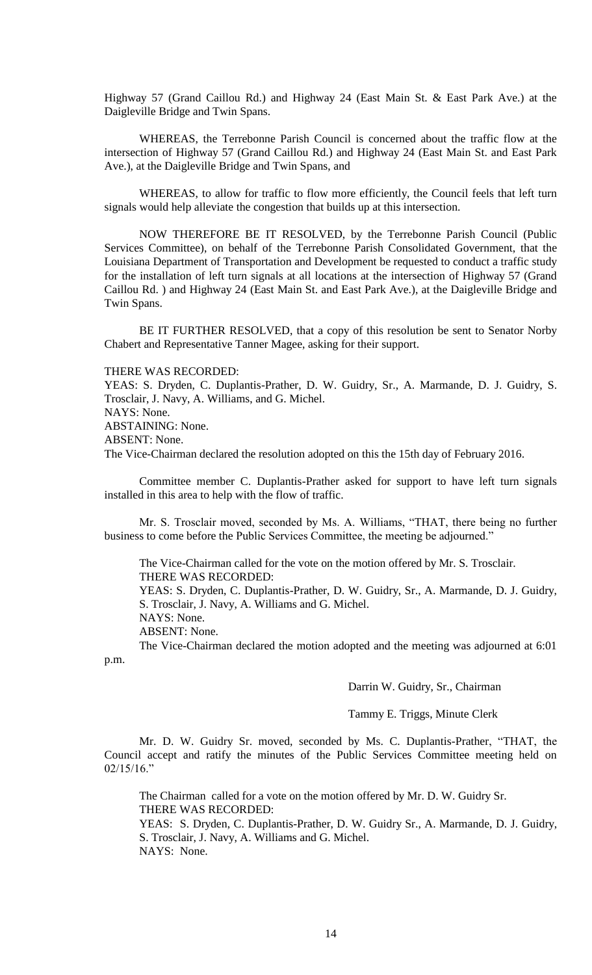Highway 57 (Grand Caillou Rd.) and Highway 24 (East Main St. & East Park Ave.) at the Daigleville Bridge and Twin Spans.

WHEREAS, the Terrebonne Parish Council is concerned about the traffic flow at the intersection of Highway 57 (Grand Caillou Rd.) and Highway 24 (East Main St. and East Park Ave.), at the Daigleville Bridge and Twin Spans, and

WHEREAS, to allow for traffic to flow more efficiently, the Council feels that left turn signals would help alleviate the congestion that builds up at this intersection.

NOW THEREFORE BE IT RESOLVED, by the Terrebonne Parish Council (Public Services Committee), on behalf of the Terrebonne Parish Consolidated Government, that the Louisiana Department of Transportation and Development be requested to conduct a traffic study for the installation of left turn signals at all locations at the intersection of Highway 57 (Grand Caillou Rd. ) and Highway 24 (East Main St. and East Park Ave.), at the Daigleville Bridge and Twin Spans.

BE IT FURTHER RESOLVED, that a copy of this resolution be sent to Senator Norby Chabert and Representative Tanner Magee, asking for their support.

#### THERE WAS RECORDED:

YEAS: S. Dryden, C. Duplantis-Prather, D. W. Guidry, Sr., A. Marmande, D. J. Guidry, S. Trosclair, J. Navy, A. Williams, and G. Michel. NAYS: None. ABSTAINING: None.

ABSENT: None.

The Vice-Chairman declared the resolution adopted on this the 15th day of February 2016.

Committee member C. Duplantis-Prather asked for support to have left turn signals installed in this area to help with the flow of traffic.

Mr. S. Trosclair moved, seconded by Ms. A. Williams, "THAT, there being no further business to come before the Public Services Committee, the meeting be adjourned."

The Vice-Chairman called for the vote on the motion offered by Mr. S. Trosclair. THERE WAS RECORDED:

YEAS: S. Dryden, C. Duplantis-Prather, D. W. Guidry, Sr., A. Marmande, D. J. Guidry, S. Trosclair, J. Navy, A. Williams and G. Michel.

NAYS: None.

ABSENT: None.

The Vice-Chairman declared the motion adopted and the meeting was adjourned at 6:01 p.m.

Darrin W. Guidry, Sr., Chairman

Tammy E. Triggs, Minute Clerk

Mr. D. W. Guidry Sr. moved, seconded by Ms. C. Duplantis-Prather, "THAT, the Council accept and ratify the minutes of the Public Services Committee meeting held on 02/15/16."

The Chairman called for a vote on the motion offered by Mr. D. W. Guidry Sr. THERE WAS RECORDED:

YEAS: S. Dryden, C. Duplantis-Prather, D. W. Guidry Sr., A. Marmande, D. J. Guidry, S. Trosclair, J. Navy, A. Williams and G. Michel. NAYS: None.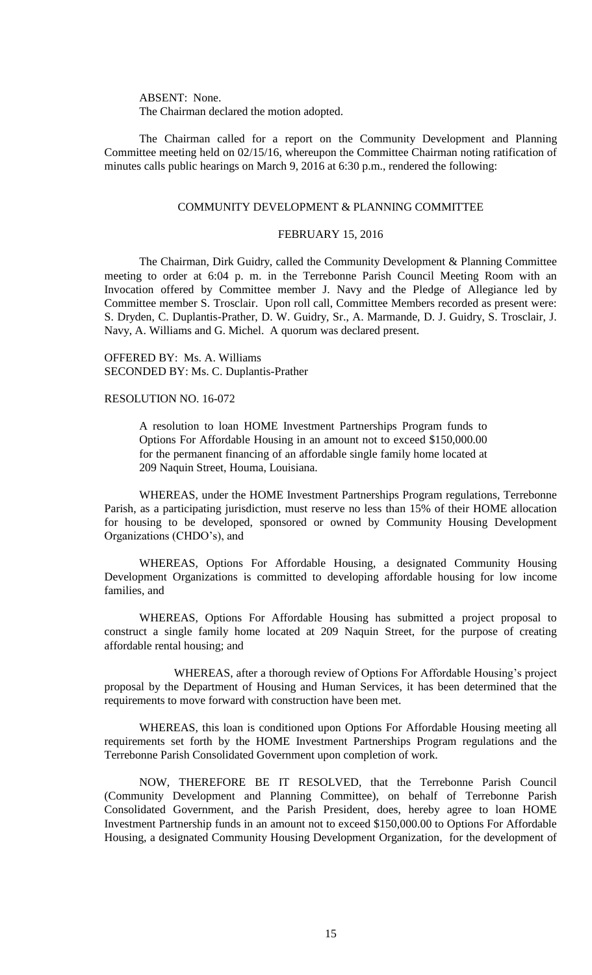ABSENT: None. The Chairman declared the motion adopted.

The Chairman called for a report on the Community Development and Planning Committee meeting held on 02/15/16, whereupon the Committee Chairman noting ratification of minutes calls public hearings on March 9, 2016 at 6:30 p.m., rendered the following:

#### COMMUNITY DEVELOPMENT & PLANNING COMMITTEE

#### FEBRUARY 15, 2016

The Chairman, Dirk Guidry, called the Community Development & Planning Committee meeting to order at 6:04 p. m. in the Terrebonne Parish Council Meeting Room with an Invocation offered by Committee member J. Navy and the Pledge of Allegiance led by Committee member S. Trosclair. Upon roll call, Committee Members recorded as present were: S. Dryden, C. Duplantis-Prather, D. W. Guidry, Sr., A. Marmande, D. J. Guidry, S. Trosclair, J. Navy, A. Williams and G. Michel. A quorum was declared present.

OFFERED BY: Ms. A. Williams SECONDED BY: Ms. C. Duplantis-Prather

#### RESOLUTION NO. 16-072

A resolution to loan HOME Investment Partnerships Program funds to Options For Affordable Housing in an amount not to exceed \$150,000.00 for the permanent financing of an affordable single family home located at 209 Naquin Street, Houma, Louisiana.

WHEREAS, under the HOME Investment Partnerships Program regulations, Terrebonne Parish, as a participating jurisdiction, must reserve no less than 15% of their HOME allocation for housing to be developed, sponsored or owned by Community Housing Development Organizations (CHDO's), and

WHEREAS, Options For Affordable Housing, a designated Community Housing Development Organizations is committed to developing affordable housing for low income families, and

WHEREAS, Options For Affordable Housing has submitted a project proposal to construct a single family home located at 209 Naquin Street, for the purpose of creating affordable rental housing; and

WHEREAS, after a thorough review of Options For Affordable Housing's project proposal by the Department of Housing and Human Services, it has been determined that the requirements to move forward with construction have been met.

WHEREAS, this loan is conditioned upon Options For Affordable Housing meeting all requirements set forth by the HOME Investment Partnerships Program regulations and the Terrebonne Parish Consolidated Government upon completion of work.

NOW, THEREFORE BE IT RESOLVED, that the Terrebonne Parish Council (Community Development and Planning Committee), on behalf of Terrebonne Parish Consolidated Government, and the Parish President, does, hereby agree to loan HOME Investment Partnership funds in an amount not to exceed \$150,000.00 to Options For Affordable Housing, a designated Community Housing Development Organization, for the development of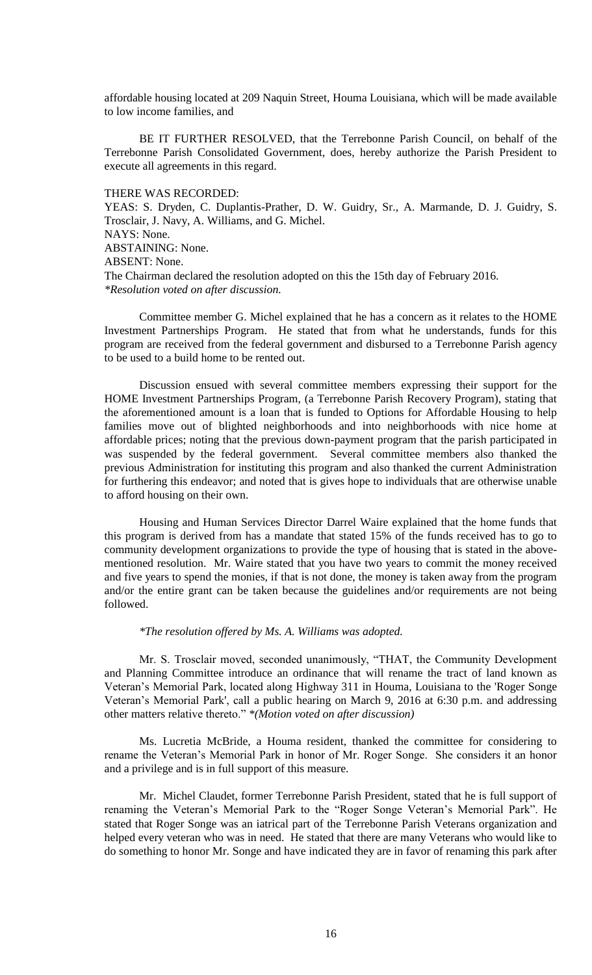affordable housing located at 209 Naquin Street, Houma Louisiana, which will be made available to low income families, and

BE IT FURTHER RESOLVED, that the Terrebonne Parish Council, on behalf of the Terrebonne Parish Consolidated Government, does, hereby authorize the Parish President to execute all agreements in this regard.

## THERE WAS RECORDED:

YEAS: S. Dryden, C. Duplantis-Prather, D. W. Guidry, Sr., A. Marmande, D. J. Guidry, S. Trosclair, J. Navy, A. Williams, and G. Michel. NAYS: None. ABSTAINING: None. ABSENT: None. The Chairman declared the resolution adopted on this the 15th day of February 2016. *\*Resolution voted on after discussion.*

Committee member G. Michel explained that he has a concern as it relates to the HOME Investment Partnerships Program. He stated that from what he understands, funds for this program are received from the federal government and disbursed to a Terrebonne Parish agency to be used to a build home to be rented out.

Discussion ensued with several committee members expressing their support for the HOME Investment Partnerships Program, (a Terrebonne Parish Recovery Program), stating that the aforementioned amount is a loan that is funded to Options for Affordable Housing to help families move out of blighted neighborhoods and into neighborhoods with nice home at affordable prices; noting that the previous down-payment program that the parish participated in was suspended by the federal government. Several committee members also thanked the previous Administration for instituting this program and also thanked the current Administration for furthering this endeavor; and noted that is gives hope to individuals that are otherwise unable to afford housing on their own.

Housing and Human Services Director Darrel Waire explained that the home funds that this program is derived from has a mandate that stated 15% of the funds received has to go to community development organizations to provide the type of housing that is stated in the abovementioned resolution. Mr. Waire stated that you have two years to commit the money received and five years to spend the monies, if that is not done, the money is taken away from the program and/or the entire grant can be taken because the guidelines and/or requirements are not being followed.

## *\*The resolution offered by Ms. A. Williams was adopted.*

Mr. S. Trosclair moved, seconded unanimously, "THAT, the Community Development and Planning Committee introduce an ordinance that will rename the tract of land known as Veteran's Memorial Park, located along Highway 311 in Houma, Louisiana to the 'Roger Songe Veteran's Memorial Park', call a public hearing on March 9, 2016 at 6:30 p.m. and addressing other matters relative thereto." *\*(Motion voted on after discussion)*

Ms. Lucretia McBride, a Houma resident, thanked the committee for considering to rename the Veteran's Memorial Park in honor of Mr. Roger Songe. She considers it an honor and a privilege and is in full support of this measure.

Mr. Michel Claudet, former Terrebonne Parish President, stated that he is full support of renaming the Veteran's Memorial Park to the "Roger Songe Veteran's Memorial Park". He stated that Roger Songe was an iatrical part of the Terrebonne Parish Veterans organization and helped every veteran who was in need. He stated that there are many Veterans who would like to do something to honor Mr. Songe and have indicated they are in favor of renaming this park after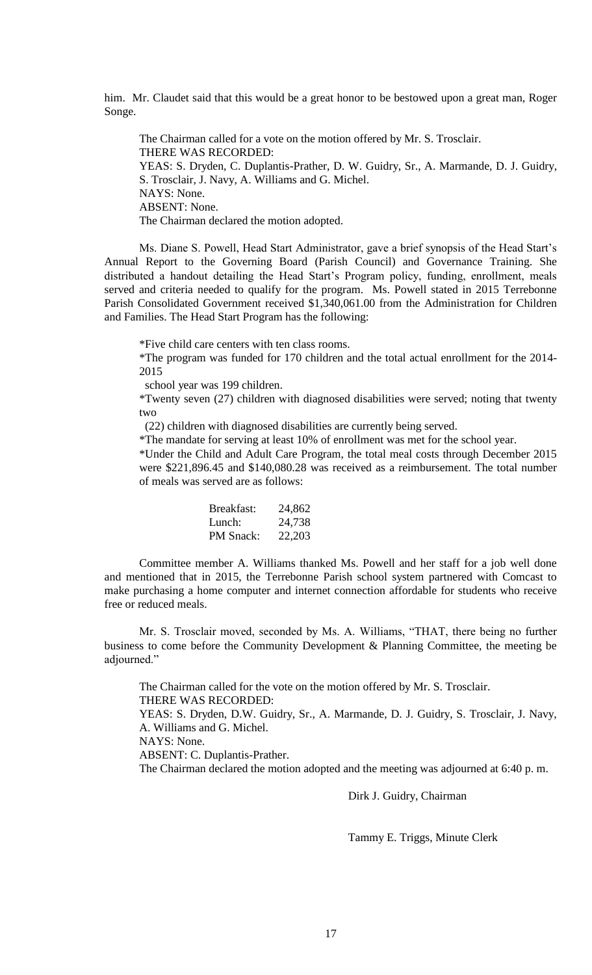him. Mr. Claudet said that this would be a great honor to be bestowed upon a great man, Roger Songe.

The Chairman called for a vote on the motion offered by Mr. S. Trosclair. THERE WAS RECORDED: YEAS: S. Dryden, C. Duplantis-Prather, D. W. Guidry, Sr., A. Marmande, D. J. Guidry, S. Trosclair, J. Navy, A. Williams and G. Michel. NAYS: None. ABSENT: None. The Chairman declared the motion adopted.

Ms. Diane S. Powell, Head Start Administrator, gave a brief synopsis of the Head Start's Annual Report to the Governing Board (Parish Council) and Governance Training. She distributed a handout detailing the Head Start's Program policy, funding, enrollment, meals served and criteria needed to qualify for the program. Ms. Powell stated in 2015 Terrebonne Parish Consolidated Government received \$1,340,061.00 from the Administration for Children and Families. The Head Start Program has the following:

\*Five child care centers with ten class rooms.

\*The program was funded for 170 children and the total actual enrollment for the 2014- 2015

school year was 199 children.

\*Twenty seven (27) children with diagnosed disabilities were served; noting that twenty two

(22) children with diagnosed disabilities are currently being served.

\*The mandate for serving at least 10% of enrollment was met for the school year.

\*Under the Child and Adult Care Program, the total meal costs through December 2015 were \$221,896.45 and \$140,080.28 was received as a reimbursement. The total number of meals was served are as follows:

| 24,862 |
|--------|
| 24,738 |
| 22,203 |
|        |

Committee member A. Williams thanked Ms. Powell and her staff for a job well done and mentioned that in 2015, the Terrebonne Parish school system partnered with Comcast to make purchasing a home computer and internet connection affordable for students who receive free or reduced meals.

Mr. S. Trosclair moved, seconded by Ms. A. Williams, "THAT, there being no further business to come before the Community Development & Planning Committee, the meeting be adjourned."

The Chairman called for the vote on the motion offered by Mr. S. Trosclair. THERE WAS RECORDED: YEAS: S. Dryden, D.W. Guidry, Sr., A. Marmande, D. J. Guidry, S. Trosclair, J. Navy, A. Williams and G. Michel. NAYS: None. ABSENT: C. Duplantis-Prather. The Chairman declared the motion adopted and the meeting was adjourned at 6:40 p. m.

Dirk J. Guidry, Chairman

Tammy E. Triggs, Minute Clerk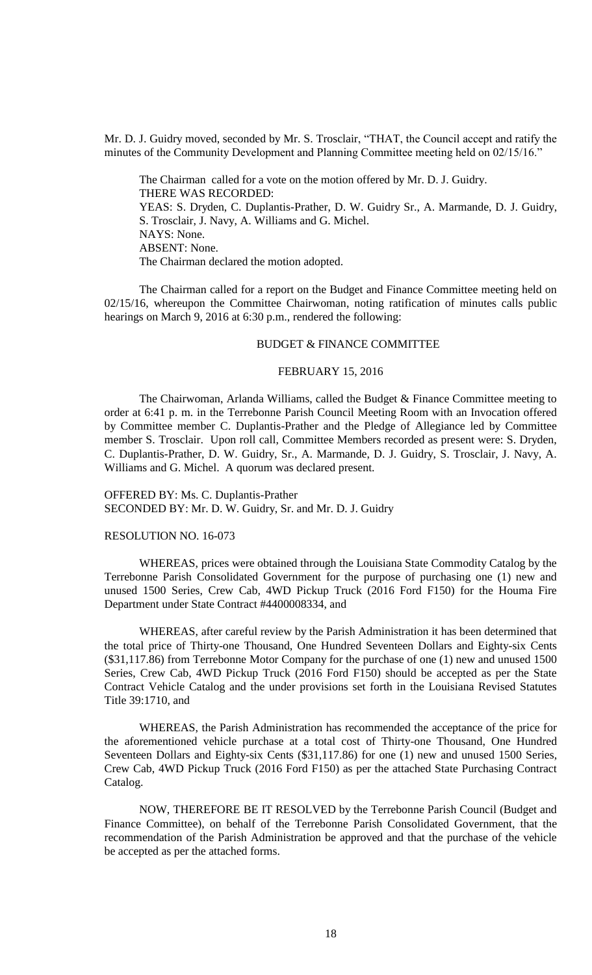Mr. D. J. Guidry moved, seconded by Mr. S. Trosclair, "THAT, the Council accept and ratify the minutes of the Community Development and Planning Committee meeting held on 02/15/16."

The Chairman called for a vote on the motion offered by Mr. D. J. Guidry. THERE WAS RECORDED: YEAS: S. Dryden, C. Duplantis-Prather, D. W. Guidry Sr., A. Marmande, D. J. Guidry, S. Trosclair, J. Navy, A. Williams and G. Michel. NAYS: None. ABSENT: None. The Chairman declared the motion adopted.

The Chairman called for a report on the Budget and Finance Committee meeting held on 02/15/16, whereupon the Committee Chairwoman, noting ratification of minutes calls public hearings on March 9, 2016 at 6:30 p.m., rendered the following:

#### BUDGET & FINANCE COMMITTEE

#### FEBRUARY 15, 2016

The Chairwoman, Arlanda Williams, called the Budget & Finance Committee meeting to order at 6:41 p. m. in the Terrebonne Parish Council Meeting Room with an Invocation offered by Committee member C. Duplantis-Prather and the Pledge of Allegiance led by Committee member S. Trosclair. Upon roll call, Committee Members recorded as present were: S. Dryden, C. Duplantis-Prather, D. W. Guidry, Sr., A. Marmande, D. J. Guidry, S. Trosclair, J. Navy, A. Williams and G. Michel. A quorum was declared present.

OFFERED BY: Ms. C. Duplantis-Prather SECONDED BY: Mr. D. W. Guidry, Sr. and Mr. D. J. Guidry

#### RESOLUTION NO. 16-073

WHEREAS, prices were obtained through the Louisiana State Commodity Catalog by the Terrebonne Parish Consolidated Government for the purpose of purchasing one (1) new and unused 1500 Series, Crew Cab, 4WD Pickup Truck (2016 Ford F150) for the Houma Fire Department under State Contract #4400008334, and

WHEREAS, after careful review by the Parish Administration it has been determined that the total price of Thirty-one Thousand, One Hundred Seventeen Dollars and Eighty-six Cents (\$31,117.86) from Terrebonne Motor Company for the purchase of one (1) new and unused 1500 Series, Crew Cab, 4WD Pickup Truck (2016 Ford F150) should be accepted as per the State Contract Vehicle Catalog and the under provisions set forth in the Louisiana Revised Statutes Title 39:1710, and

WHEREAS, the Parish Administration has recommended the acceptance of the price for the aforementioned vehicle purchase at a total cost of Thirty-one Thousand, One Hundred Seventeen Dollars and Eighty-six Cents (\$31,117.86) for one (1) new and unused 1500 Series, Crew Cab, 4WD Pickup Truck (2016 Ford F150) as per the attached State Purchasing Contract Catalog.

NOW, THEREFORE BE IT RESOLVED by the Terrebonne Parish Council (Budget and Finance Committee), on behalf of the Terrebonne Parish Consolidated Government, that the recommendation of the Parish Administration be approved and that the purchase of the vehicle be accepted as per the attached forms.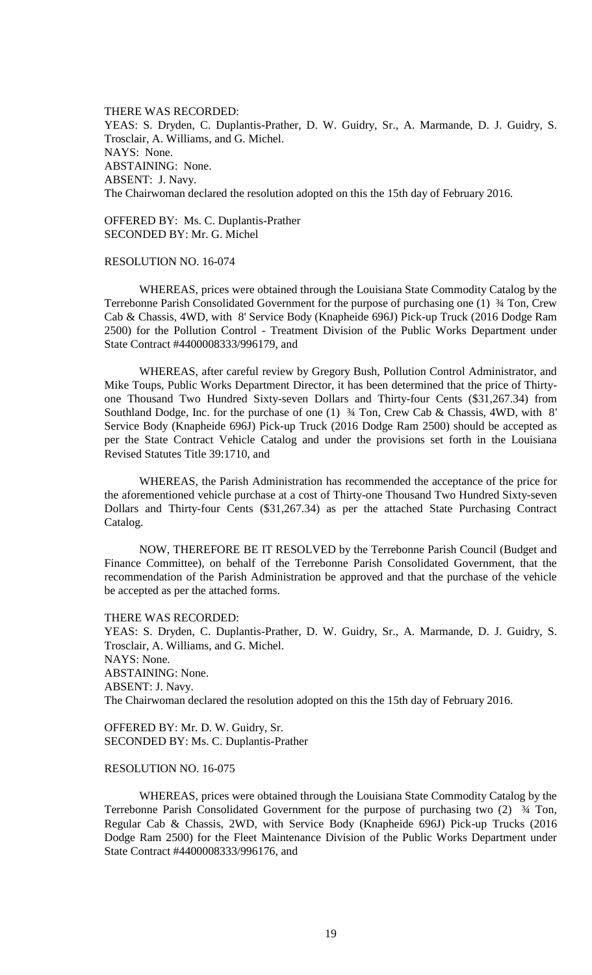THERE WAS RECORDED: YEAS: S. Dryden, C. Duplantis-Prather, D. W. Guidry, Sr., A. Marmande, D. J. Guidry, S. Trosclair, A. Williams, and G. Michel. NAYS: None. ABSTAINING: None. ABSENT: J. Navy. The Chairwoman declared the resolution adopted on this the 15th day of February 2016.

OFFERED BY: Ms. C. Duplantis-Prather SECONDED BY: Mr. G. Michel

## RESOLUTION NO. 16-074

WHEREAS, prices were obtained through the Louisiana State Commodity Catalog by the Terrebonne Parish Consolidated Government for the purpose of purchasing one (1) ¾ Ton, Crew Cab & Chassis, 4WD, with 8' Service Body (Knapheide 696J) Pick-up Truck (2016 Dodge Ram 2500) for the Pollution Control - Treatment Division of the Public Works Department under State Contract #4400008333/996179, and

WHEREAS, after careful review by Gregory Bush, Pollution Control Administrator, and Mike Toups, Public Works Department Director, it has been determined that the price of Thirtyone Thousand Two Hundred Sixty-seven Dollars and Thirty-four Cents (\$31,267.34) from Southland Dodge, Inc. for the purchase of one (1) ¾ Ton, Crew Cab & Chassis, 4WD, with 8' Service Body (Knapheide 696J) Pick-up Truck (2016 Dodge Ram 2500) should be accepted as per the State Contract Vehicle Catalog and under the provisions set forth in the Louisiana Revised Statutes Title 39:1710, and

WHEREAS, the Parish Administration has recommended the acceptance of the price for the aforementioned vehicle purchase at a cost of Thirty-one Thousand Two Hundred Sixty-seven Dollars and Thirty-four Cents (\$31,267.34) as per the attached State Purchasing Contract Catalog.

NOW, THEREFORE BE IT RESOLVED by the Terrebonne Parish Council (Budget and Finance Committee), on behalf of the Terrebonne Parish Consolidated Government, that the recommendation of the Parish Administration be approved and that the purchase of the vehicle be accepted as per the attached forms.

THERE WAS RECORDED:

YEAS: S. Dryden, C. Duplantis-Prather, D. W. Guidry, Sr., A. Marmande, D. J. Guidry, S. Trosclair, A. Williams, and G. Michel. NAYS: None. ABSTAINING: None. ABSENT: J. Navy. The Chairwoman declared the resolution adopted on this the 15th day of February 2016.

OFFERED BY: Mr. D. W. Guidry, Sr. SECONDED BY: Ms. C. Duplantis-Prather

## RESOLUTION NO. 16-075

WHEREAS, prices were obtained through the Louisiana State Commodity Catalog by the Terrebonne Parish Consolidated Government for the purpose of purchasing two (2) ¾ Ton, Regular Cab & Chassis, 2WD, with Service Body (Knapheide 696J) Pick-up Trucks (2016 Dodge Ram 2500) for the Fleet Maintenance Division of the Public Works Department under State Contract #4400008333/996176, and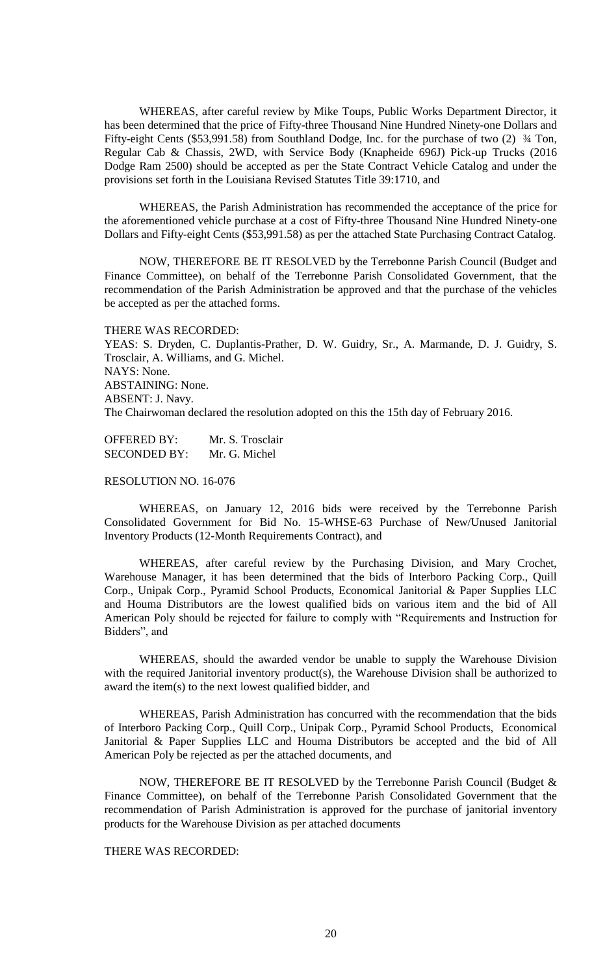WHEREAS, after careful review by Mike Toups, Public Works Department Director, it has been determined that the price of Fifty-three Thousand Nine Hundred Ninety-one Dollars and Fifty-eight Cents (\$53,991.58) from Southland Dodge, Inc. for the purchase of two (2)  $\frac{3}{4}$  Ton, Regular Cab & Chassis, 2WD, with Service Body (Knapheide 696J) Pick-up Trucks (2016 Dodge Ram 2500) should be accepted as per the State Contract Vehicle Catalog and under the provisions set forth in the Louisiana Revised Statutes Title 39:1710, and

WHEREAS, the Parish Administration has recommended the acceptance of the price for the aforementioned vehicle purchase at a cost of Fifty-three Thousand Nine Hundred Ninety-one Dollars and Fifty-eight Cents (\$53,991.58) as per the attached State Purchasing Contract Catalog.

NOW, THEREFORE BE IT RESOLVED by the Terrebonne Parish Council (Budget and Finance Committee), on behalf of the Terrebonne Parish Consolidated Government, that the recommendation of the Parish Administration be approved and that the purchase of the vehicles be accepted as per the attached forms.

THERE WAS RECORDED:

YEAS: S. Dryden, C. Duplantis-Prather, D. W. Guidry, Sr., A. Marmande, D. J. Guidry, S. Trosclair, A. Williams, and G. Michel. NAYS: None. ABSTAINING: None. ABSENT: J. Navy. The Chairwoman declared the resolution adopted on this the 15th day of February 2016.

OFFERED BY: Mr. S. Trosclair SECONDED BY: Mr. G. Michel

#### RESOLUTION NO. 16-076

WHEREAS, on January 12, 2016 bids were received by the Terrebonne Parish Consolidated Government for Bid No. 15-WHSE-63 Purchase of New/Unused Janitorial Inventory Products (12-Month Requirements Contract), and

WHEREAS, after careful review by the Purchasing Division, and Mary Crochet, Warehouse Manager, it has been determined that the bids of Interboro Packing Corp., Quill Corp., Unipak Corp., Pyramid School Products, Economical Janitorial & Paper Supplies LLC and Houma Distributors are the lowest qualified bids on various item and the bid of All American Poly should be rejected for failure to comply with "Requirements and Instruction for Bidders", and

WHEREAS, should the awarded vendor be unable to supply the Warehouse Division with the required Janitorial inventory product(s), the Warehouse Division shall be authorized to award the item(s) to the next lowest qualified bidder, and

WHEREAS, Parish Administration has concurred with the recommendation that the bids of Interboro Packing Corp., Quill Corp., Unipak Corp., Pyramid School Products, Economical Janitorial & Paper Supplies LLC and Houma Distributors be accepted and the bid of All American Poly be rejected as per the attached documents, and

NOW, THEREFORE BE IT RESOLVED by the Terrebonne Parish Council (Budget & Finance Committee), on behalf of the Terrebonne Parish Consolidated Government that the recommendation of Parish Administration is approved for the purchase of janitorial inventory products for the Warehouse Division as per attached documents

#### THERE WAS RECORDED: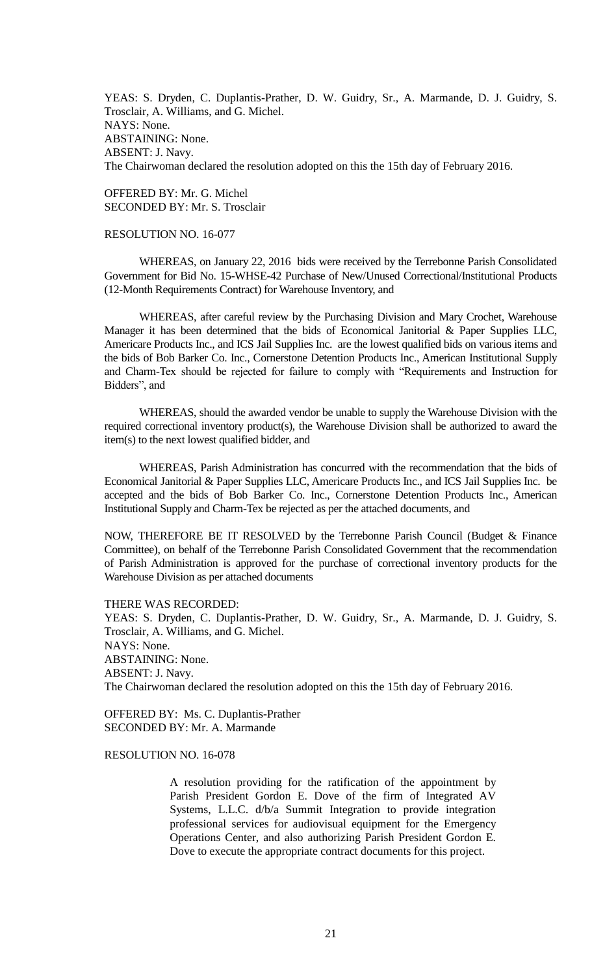YEAS: S. Dryden, C. Duplantis-Prather, D. W. Guidry, Sr., A. Marmande, D. J. Guidry, S. Trosclair, A. Williams, and G. Michel. NAYS: None. ABSTAINING: None. ABSENT: J. Navy. The Chairwoman declared the resolution adopted on this the 15th day of February 2016.

OFFERED BY: Mr. G. Michel SECONDED BY: Mr. S. Trosclair

## RESOLUTION NO. 16-077

WHEREAS, on January 22, 2016 bids were received by the Terrebonne Parish Consolidated Government for Bid No. 15-WHSE-42 Purchase of New/Unused Correctional/Institutional Products (12-Month Requirements Contract) for Warehouse Inventory, and

WHEREAS, after careful review by the Purchasing Division and Mary Crochet, Warehouse Manager it has been determined that the bids of Economical Janitorial & Paper Supplies LLC, Americare Products Inc., and ICS Jail Supplies Inc. are the lowest qualified bids on various items and the bids of Bob Barker Co. Inc., Cornerstone Detention Products Inc., American Institutional Supply and Charm-Tex should be rejected for failure to comply with "Requirements and Instruction for Bidders", and

WHEREAS, should the awarded vendor be unable to supply the Warehouse Division with the required correctional inventory product(s), the Warehouse Division shall be authorized to award the item(s) to the next lowest qualified bidder, and

WHEREAS, Parish Administration has concurred with the recommendation that the bids of Economical Janitorial & Paper Supplies LLC, Americare Products Inc., and ICS Jail Supplies Inc. be accepted and the bids of Bob Barker Co. Inc., Cornerstone Detention Products Inc., American Institutional Supply and Charm-Tex be rejected as per the attached documents, and

NOW, THEREFORE BE IT RESOLVED by the Terrebonne Parish Council (Budget & Finance Committee), on behalf of the Terrebonne Parish Consolidated Government that the recommendation of Parish Administration is approved for the purchase of correctional inventory products for the Warehouse Division as per attached documents

THERE WAS RECORDED: YEAS: S. Dryden, C. Duplantis-Prather, D. W. Guidry, Sr., A. Marmande, D. J. Guidry, S. Trosclair, A. Williams, and G. Michel. NAYS: None. ABSTAINING: None. ABSENT: J. Navy. The Chairwoman declared the resolution adopted on this the 15th day of February 2016.

OFFERED BY: Ms. C. Duplantis-Prather SECONDED BY: Mr. A. Marmande

## RESOLUTION NO. 16-078

A resolution providing for the ratification of the appointment by Parish President Gordon E. Dove of the firm of Integrated AV Systems, L.L.C. d/b/a Summit Integration to provide integration professional services for audiovisual equipment for the Emergency Operations Center, and also authorizing Parish President Gordon E. Dove to execute the appropriate contract documents for this project.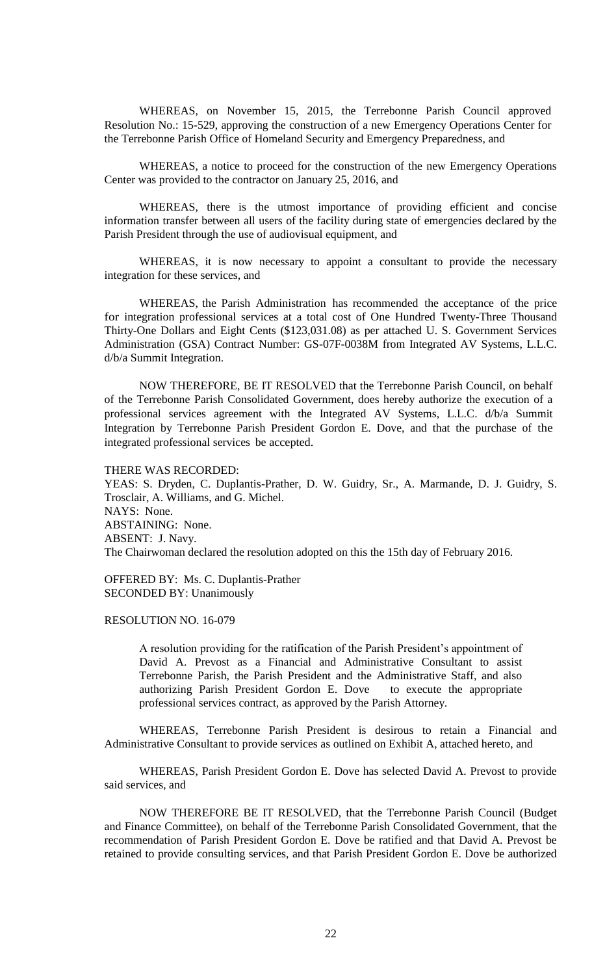WHEREAS, on November 15, 2015, the Terrebonne Parish Council approved Resolution No.: 15-529, approving the construction of a new Emergency Operations Center for the Terrebonne Parish Office of Homeland Security and Emergency Preparedness, and

WHEREAS, a notice to proceed for the construction of the new Emergency Operations Center was provided to the contractor on January 25, 2016, and

WHEREAS, there is the utmost importance of providing efficient and concise information transfer between all users of the facility during state of emergencies declared by the Parish President through the use of audiovisual equipment, and

WHEREAS, it is now necessary to appoint a consultant to provide the necessary integration for these services, and

WHEREAS, the Parish Administration has recommended the acceptance of the price for integration professional services at a total cost of One Hundred Twenty-Three Thousand Thirty-One Dollars and Eight Cents (\$123,031.08) as per attached U. S. Government Services Administration (GSA) Contract Number: GS-07F-0038M from Integrated AV Systems, L.L.C. d/b/a Summit Integration.

NOW THEREFORE, BE IT RESOLVED that the Terrebonne Parish Council, on behalf of the Terrebonne Parish Consolidated Government, does hereby authorize the execution of a professional services agreement with the Integrated AV Systems, L.L.C. d/b/a Summit Integration by Terrebonne Parish President Gordon E. Dove, and that the purchase of the integrated professional services be accepted.

THERE WAS RECORDED:

YEAS: S. Dryden, C. Duplantis-Prather, D. W. Guidry, Sr., A. Marmande, D. J. Guidry, S. Trosclair, A. Williams, and G. Michel. NAYS: None. ABSTAINING: None. ABSENT: J. Navy. The Chairwoman declared the resolution adopted on this the 15th day of February 2016.

OFFERED BY: Ms. C. Duplantis-Prather SECONDED BY: Unanimously

#### RESOLUTION NO. 16-079

A resolution providing for the ratification of the Parish President's appointment of David A. Prevost as a Financial and Administrative Consultant to assist Terrebonne Parish, the Parish President and the Administrative Staff, and also authorizing Parish President Gordon E. Dove to execute the appropriate professional services contract, as approved by the Parish Attorney.

WHEREAS, Terrebonne Parish President is desirous to retain a Financial and Administrative Consultant to provide services as outlined on Exhibit A, attached hereto, and

WHEREAS, Parish President Gordon E. Dove has selected David A. Prevost to provide said services, and

NOW THEREFORE BE IT RESOLVED, that the Terrebonne Parish Council (Budget and Finance Committee), on behalf of the Terrebonne Parish Consolidated Government, that the recommendation of Parish President Gordon E. Dove be ratified and that David A. Prevost be retained to provide consulting services, and that Parish President Gordon E. Dove be authorized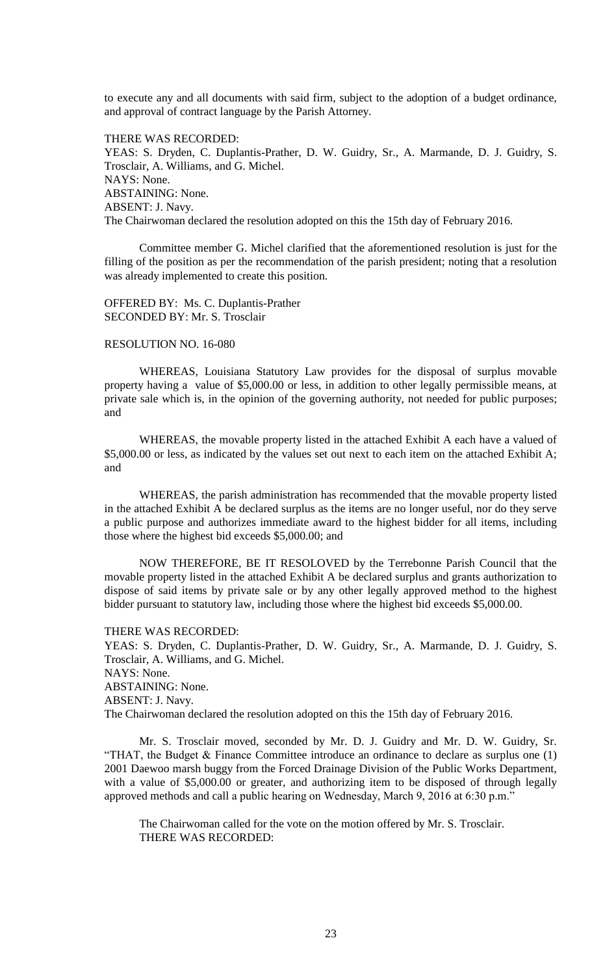to execute any and all documents with said firm, subject to the adoption of a budget ordinance, and approval of contract language by the Parish Attorney.

THERE WAS RECORDED: YEAS: S. Dryden, C. Duplantis-Prather, D. W. Guidry, Sr., A. Marmande, D. J. Guidry, S. Trosclair, A. Williams, and G. Michel. NAYS: None. ABSTAINING: None. ABSENT: J. Navy. The Chairwoman declared the resolution adopted on this the 15th day of February 2016.

Committee member G. Michel clarified that the aforementioned resolution is just for the filling of the position as per the recommendation of the parish president; noting that a resolution was already implemented to create this position.

OFFERED BY: Ms. C. Duplantis-Prather SECONDED BY: Mr. S. Trosclair

#### RESOLUTION NO. 16-080

WHEREAS, Louisiana Statutory Law provides for the disposal of surplus movable property having a value of \$5,000.00 or less, in addition to other legally permissible means, at private sale which is, in the opinion of the governing authority, not needed for public purposes; and

WHEREAS, the movable property listed in the attached Exhibit A each have a valued of \$5,000.00 or less, as indicated by the values set out next to each item on the attached Exhibit A; and

WHEREAS, the parish administration has recommended that the movable property listed in the attached Exhibit A be declared surplus as the items are no longer useful, nor do they serve a public purpose and authorizes immediate award to the highest bidder for all items, including those where the highest bid exceeds \$5,000.00; and

NOW THEREFORE, BE IT RESOLOVED by the Terrebonne Parish Council that the movable property listed in the attached Exhibit A be declared surplus and grants authorization to dispose of said items by private sale or by any other legally approved method to the highest bidder pursuant to statutory law, including those where the highest bid exceeds \$5,000.00.

THERE WAS RECORDED:

YEAS: S. Dryden, C. Duplantis-Prather, D. W. Guidry, Sr., A. Marmande, D. J. Guidry, S. Trosclair, A. Williams, and G. Michel. NAYS: None. ABSTAINING: None. ABSENT: J. Navy. The Chairwoman declared the resolution adopted on this the 15th day of February 2016.

Mr. S. Trosclair moved, seconded by Mr. D. J. Guidry and Mr. D. W. Guidry, Sr. "THAT, the Budget & Finance Committee introduce an ordinance to declare as surplus one (1) 2001 Daewoo marsh buggy from the Forced Drainage Division of the Public Works Department, with a value of \$5,000.00 or greater, and authorizing item to be disposed of through legally approved methods and call a public hearing on Wednesday, March 9, 2016 at 6:30 p.m."

The Chairwoman called for the vote on the motion offered by Mr. S. Trosclair. THERE WAS RECORDED: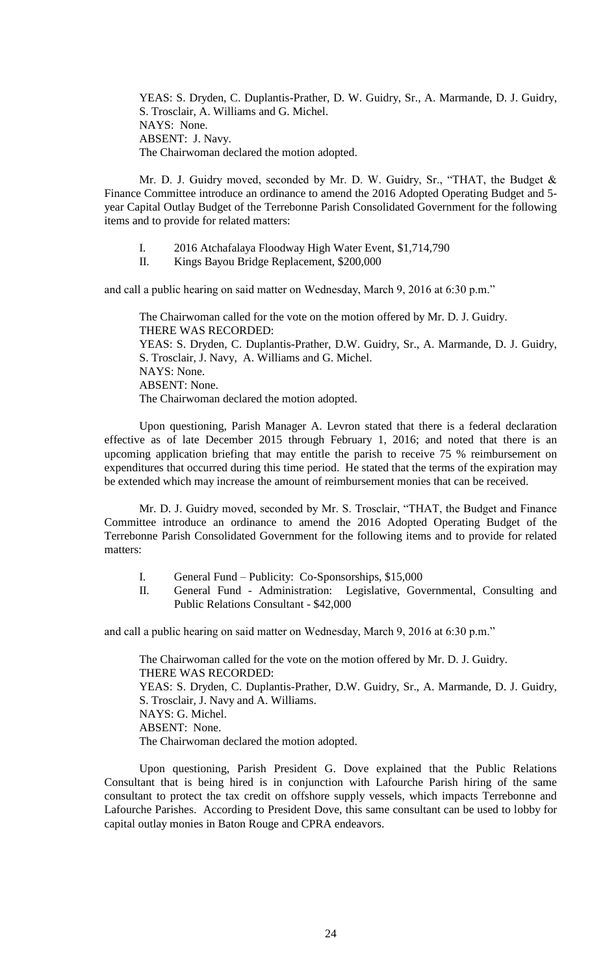YEAS: S. Dryden, C. Duplantis-Prather, D. W. Guidry, Sr., A. Marmande, D. J. Guidry, S. Trosclair, A. Williams and G. Michel. NAYS: None. ABSENT: J. Navy. The Chairwoman declared the motion adopted.

Mr. D. J. Guidry moved, seconded by Mr. D. W. Guidry, Sr., "THAT, the Budget & Finance Committee introduce an ordinance to amend the 2016 Adopted Operating Budget and 5 year Capital Outlay Budget of the Terrebonne Parish Consolidated Government for the following items and to provide for related matters:

- I. 2016 Atchafalaya Floodway High Water Event, \$1,714,790
- II. Kings Bayou Bridge Replacement, \$200,000

and call a public hearing on said matter on Wednesday, March 9, 2016 at 6:30 p.m."

The Chairwoman called for the vote on the motion offered by Mr. D. J. Guidry. THERE WAS RECORDED: YEAS: S. Dryden, C. Duplantis-Prather, D.W. Guidry, Sr., A. Marmande, D. J. Guidry, S. Trosclair, J. Navy, A. Williams and G. Michel. NAYS: None. ABSENT: None. The Chairwoman declared the motion adopted.

Upon questioning, Parish Manager A. Levron stated that there is a federal declaration effective as of late December 2015 through February 1, 2016; and noted that there is an upcoming application briefing that may entitle the parish to receive 75 % reimbursement on expenditures that occurred during this time period. He stated that the terms of the expiration may be extended which may increase the amount of reimbursement monies that can be received.

Mr. D. J. Guidry moved, seconded by Mr. S. Trosclair, "THAT, the Budget and Finance Committee introduce an ordinance to amend the 2016 Adopted Operating Budget of the Terrebonne Parish Consolidated Government for the following items and to provide for related matters:

- I. General Fund Publicity: Co-Sponsorships, \$15,000
- II. General Fund Administration: Legislative, Governmental, Consulting and Public Relations Consultant - \$42,000

and call a public hearing on said matter on Wednesday, March 9, 2016 at 6:30 p.m."

The Chairwoman called for the vote on the motion offered by Mr. D. J. Guidry. THERE WAS RECORDED: YEAS: S. Dryden, C. Duplantis-Prather, D.W. Guidry, Sr., A. Marmande, D. J. Guidry, S. Trosclair, J. Navy and A. Williams. NAYS: G. Michel. ABSENT: None. The Chairwoman declared the motion adopted.

Upon questioning, Parish President G. Dove explained that the Public Relations Consultant that is being hired is in conjunction with Lafourche Parish hiring of the same consultant to protect the tax credit on offshore supply vessels, which impacts Terrebonne and Lafourche Parishes. According to President Dove, this same consultant can be used to lobby for capital outlay monies in Baton Rouge and CPRA endeavors.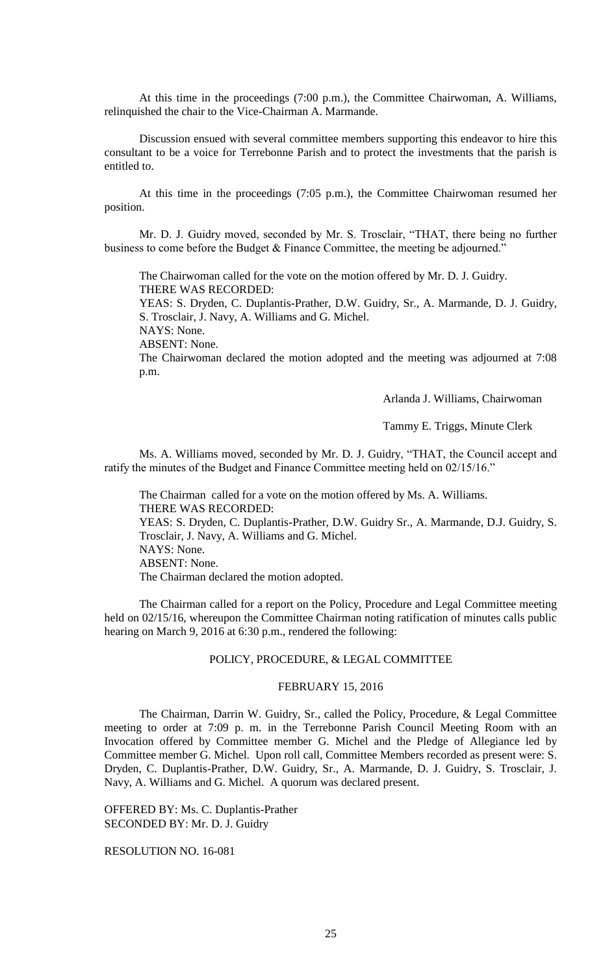At this time in the proceedings (7:00 p.m.), the Committee Chairwoman, A. Williams, relinquished the chair to the Vice-Chairman A. Marmande.

Discussion ensued with several committee members supporting this endeavor to hire this consultant to be a voice for Terrebonne Parish and to protect the investments that the parish is entitled to.

At this time in the proceedings (7:05 p.m.), the Committee Chairwoman resumed her position.

Mr. D. J. Guidry moved, seconded by Mr. S. Trosclair, "THAT, there being no further business to come before the Budget & Finance Committee, the meeting be adjourned."

The Chairwoman called for the vote on the motion offered by Mr. D. J. Guidry. THERE WAS RECORDED:

YEAS: S. Dryden, C. Duplantis-Prather, D.W. Guidry, Sr., A. Marmande, D. J. Guidry, S. Trosclair, J. Navy, A. Williams and G. Michel.

NAYS: None.

ABSENT: None.

The Chairwoman declared the motion adopted and the meeting was adjourned at 7:08 p.m.

Arlanda J. Williams, Chairwoman

Tammy E. Triggs, Minute Clerk

Ms. A. Williams moved, seconded by Mr. D. J. Guidry, "THAT, the Council accept and ratify the minutes of the Budget and Finance Committee meeting held on 02/15/16."

The Chairman called for a vote on the motion offered by Ms. A. Williams. THERE WAS RECORDED:

YEAS: S. Dryden, C. Duplantis-Prather, D.W. Guidry Sr., A. Marmande, D.J. Guidry, S. Trosclair, J. Navy, A. Williams and G. Michel. NAYS: None. ABSENT: None.

The Chairman declared the motion adopted.

The Chairman called for a report on the Policy, Procedure and Legal Committee meeting held on 02/15/16, whereupon the Committee Chairman noting ratification of minutes calls public hearing on March 9, 2016 at 6:30 p.m., rendered the following:

#### POLICY, PROCEDURE, & LEGAL COMMITTEE

#### FEBRUARY 15, 2016

The Chairman, Darrin W. Guidry, Sr., called the Policy, Procedure, & Legal Committee meeting to order at 7:09 p. m. in the Terrebonne Parish Council Meeting Room with an Invocation offered by Committee member G. Michel and the Pledge of Allegiance led by Committee member G. Michel. Upon roll call, Committee Members recorded as present were: S. Dryden, C. Duplantis-Prather, D.W. Guidry, Sr., A. Marmande, D. J. Guidry, S. Trosclair, J. Navy, A. Williams and G. Michel. A quorum was declared present.

OFFERED BY: Ms. C. Duplantis-Prather SECONDED BY: Mr. D. J. Guidry

RESOLUTION NO. 16-081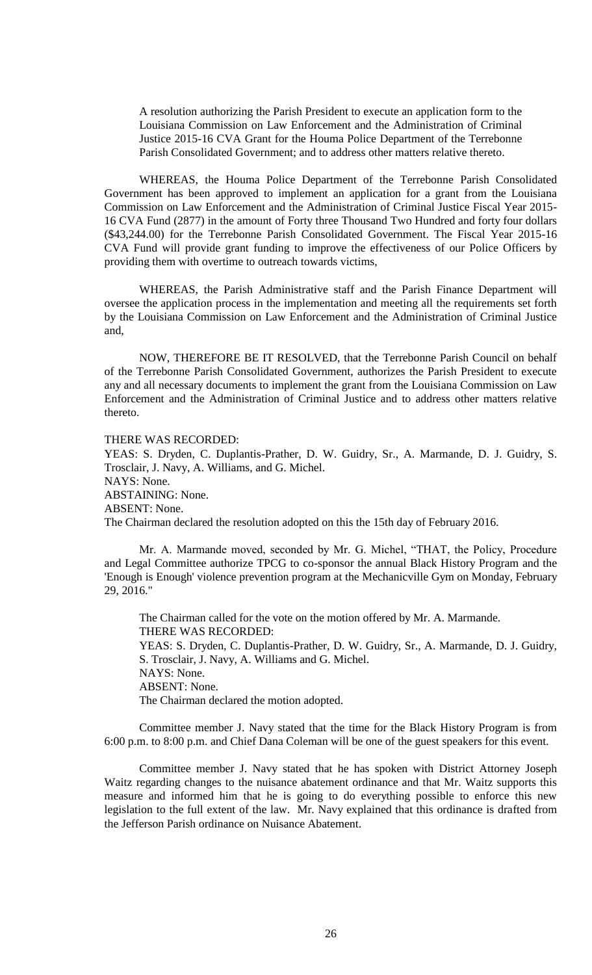A resolution authorizing the Parish President to execute an application form to the Louisiana Commission on Law Enforcement and the Administration of Criminal Justice 2015-16 CVA Grant for the Houma Police Department of the Terrebonne Parish Consolidated Government; and to address other matters relative thereto.

WHEREAS, the Houma Police Department of the Terrebonne Parish Consolidated Government has been approved to implement an application for a grant from the Louisiana Commission on Law Enforcement and the Administration of Criminal Justice Fiscal Year 2015- 16 CVA Fund (2877) in the amount of Forty three Thousand Two Hundred and forty four dollars (\$43,244.00) for the Terrebonne Parish Consolidated Government. The Fiscal Year 2015-16 CVA Fund will provide grant funding to improve the effectiveness of our Police Officers by providing them with overtime to outreach towards victims,

WHEREAS, the Parish Administrative staff and the Parish Finance Department will oversee the application process in the implementation and meeting all the requirements set forth by the Louisiana Commission on Law Enforcement and the Administration of Criminal Justice and,

NOW, THEREFORE BE IT RESOLVED, that the Terrebonne Parish Council on behalf of the Terrebonne Parish Consolidated Government, authorizes the Parish President to execute any and all necessary documents to implement the grant from the Louisiana Commission on Law Enforcement and the Administration of Criminal Justice and to address other matters relative thereto.

THERE WAS RECORDED:

YEAS: S. Dryden, C. Duplantis-Prather, D. W. Guidry, Sr., A. Marmande, D. J. Guidry, S. Trosclair, J. Navy, A. Williams, and G. Michel. NAYS: None. ABSTAINING: None. ABSENT: None. The Chairman declared the resolution adopted on this the 15th day of February 2016.

Mr. A. Marmande moved, seconded by Mr. G. Michel, "THAT, the Policy, Procedure and Legal Committee authorize TPCG to co-sponsor the annual Black History Program and the 'Enough is Enough' violence prevention program at the Mechanicville Gym on Monday, February 29, 2016."

The Chairman called for the vote on the motion offered by Mr. A. Marmande. THERE WAS RECORDED: YEAS: S. Dryden, C. Duplantis-Prather, D. W. Guidry, Sr., A. Marmande, D. J. Guidry, S. Trosclair, J. Navy, A. Williams and G. Michel. NAYS: None. ABSENT: None. The Chairman declared the motion adopted.

Committee member J. Navy stated that the time for the Black History Program is from 6:00 p.m. to 8:00 p.m. and Chief Dana Coleman will be one of the guest speakers for this event.

Committee member J. Navy stated that he has spoken with District Attorney Joseph Waitz regarding changes to the nuisance abatement ordinance and that Mr. Waitz supports this measure and informed him that he is going to do everything possible to enforce this new legislation to the full extent of the law. Mr. Navy explained that this ordinance is drafted from the Jefferson Parish ordinance on Nuisance Abatement.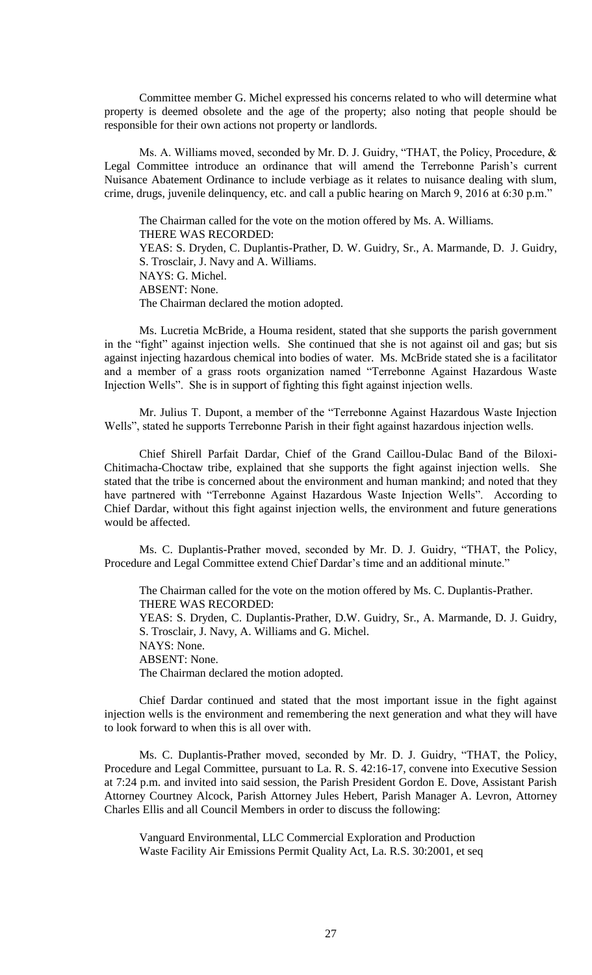Committee member G. Michel expressed his concerns related to who will determine what property is deemed obsolete and the age of the property; also noting that people should be responsible for their own actions not property or landlords.

Ms. A. Williams moved, seconded by Mr. D. J. Guidry, "THAT, the Policy, Procedure, & Legal Committee introduce an ordinance that will amend the Terrebonne Parish's current Nuisance Abatement Ordinance to include verbiage as it relates to nuisance dealing with slum, crime, drugs, juvenile delinquency, etc. and call a public hearing on March 9, 2016 at 6:30 p.m."

The Chairman called for the vote on the motion offered by Ms. A. Williams. THERE WAS RECORDED: YEAS: S. Dryden, C. Duplantis-Prather, D. W. Guidry, Sr., A. Marmande, D. J. Guidry, S. Trosclair, J. Navy and A. Williams. NAYS: G. Michel. ABSENT: None. The Chairman declared the motion adopted.

Ms. Lucretia McBride, a Houma resident, stated that she supports the parish government in the "fight" against injection wells. She continued that she is not against oil and gas; but sis against injecting hazardous chemical into bodies of water. Ms. McBride stated she is a facilitator and a member of a grass roots organization named "Terrebonne Against Hazardous Waste Injection Wells". She is in support of fighting this fight against injection wells.

Mr. Julius T. Dupont, a member of the "Terrebonne Against Hazardous Waste Injection Wells", stated he supports Terrebonne Parish in their fight against hazardous injection wells.

Chief Shirell Parfait Dardar, Chief of the Grand Caillou-Dulac Band of the Biloxi-Chitimacha-Choctaw tribe, explained that she supports the fight against injection wells. She stated that the tribe is concerned about the environment and human mankind; and noted that they have partnered with "Terrebonne Against Hazardous Waste Injection Wells". According to Chief Dardar, without this fight against injection wells, the environment and future generations would be affected.

Ms. C. Duplantis-Prather moved, seconded by Mr. D. J. Guidry, "THAT, the Policy, Procedure and Legal Committee extend Chief Dardar's time and an additional minute."

The Chairman called for the vote on the motion offered by Ms. C. Duplantis-Prather. THERE WAS RECORDED: YEAS: S. Dryden, C. Duplantis-Prather, D.W. Guidry, Sr., A. Marmande, D. J. Guidry, S. Trosclair, J. Navy, A. Williams and G. Michel. NAYS: None. ABSENT: None. The Chairman declared the motion adopted.

Chief Dardar continued and stated that the most important issue in the fight against injection wells is the environment and remembering the next generation and what they will have to look forward to when this is all over with.

Ms. C. Duplantis-Prather moved, seconded by Mr. D. J. Guidry, "THAT, the Policy, Procedure and Legal Committee, pursuant to La. R. S. 42:16-17, convene into Executive Session at 7:24 p.m. and invited into said session, the Parish President Gordon E. Dove, Assistant Parish Attorney Courtney Alcock, Parish Attorney Jules Hebert, Parish Manager A. Levron, Attorney Charles Ellis and all Council Members in order to discuss the following:

Vanguard Environmental, LLC Commercial Exploration and Production Waste Facility Air Emissions Permit Quality Act, La. R.S. 30:2001, et seq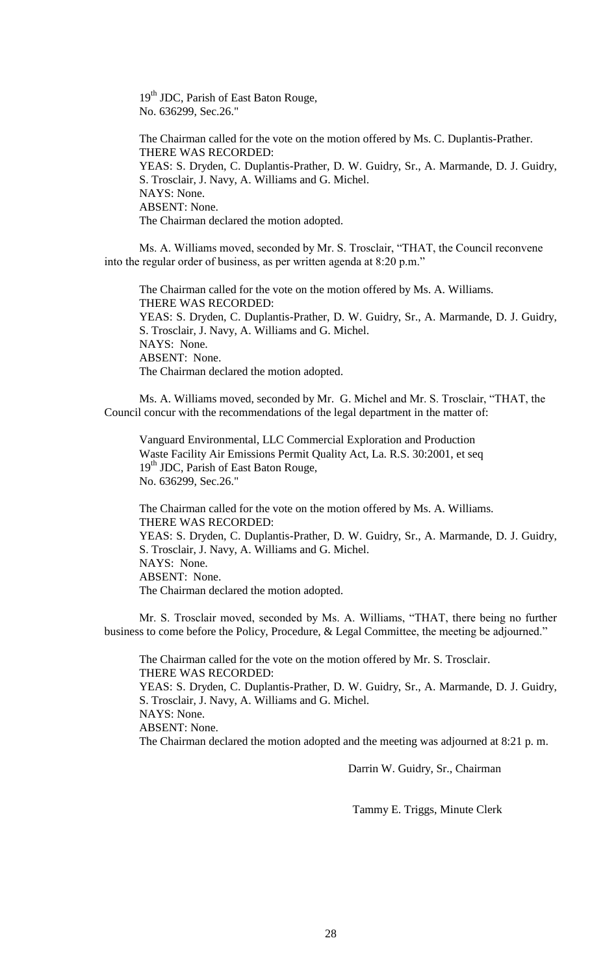19<sup>th</sup> JDC, Parish of East Baton Rouge, No. 636299, Sec.26."

The Chairman called for the vote on the motion offered by Ms. C. Duplantis-Prather. THERE WAS RECORDED: YEAS: S. Dryden, C. Duplantis-Prather, D. W. Guidry, Sr., A. Marmande, D. J. Guidry, S. Trosclair, J. Navy, A. Williams and G. Michel. NAYS: None. ABSENT: None. The Chairman declared the motion adopted.

Ms. A. Williams moved, seconded by Mr. S. Trosclair, "THAT, the Council reconvene into the regular order of business, as per written agenda at 8:20 p.m."

The Chairman called for the vote on the motion offered by Ms. A. Williams. THERE WAS RECORDED: YEAS: S. Dryden, C. Duplantis-Prather, D. W. Guidry, Sr., A. Marmande, D. J. Guidry, S. Trosclair, J. Navy, A. Williams and G. Michel. NAYS: None. ABSENT: None. The Chairman declared the motion adopted.

Ms. A. Williams moved, seconded by Mr. G. Michel and Mr. S. Trosclair, "THAT, the Council concur with the recommendations of the legal department in the matter of:

Vanguard Environmental, LLC Commercial Exploration and Production Waste Facility Air Emissions Permit Quality Act, La. R.S. 30:2001, et seq 19<sup>th</sup> JDC, Parish of East Baton Rouge, No. 636299, Sec.26."

The Chairman called for the vote on the motion offered by Ms. A. Williams. THERE WAS RECORDED: YEAS: S. Dryden, C. Duplantis-Prather, D. W. Guidry, Sr., A. Marmande, D. J. Guidry, S. Trosclair, J. Navy, A. Williams and G. Michel. NAYS: None. ABSENT: None. The Chairman declared the motion adopted.

Mr. S. Trosclair moved, seconded by Ms. A. Williams, "THAT, there being no further business to come before the Policy, Procedure, & Legal Committee, the meeting be adjourned."

The Chairman called for the vote on the motion offered by Mr. S. Trosclair. THERE WAS RECORDED: YEAS: S. Dryden, C. Duplantis-Prather, D. W. Guidry, Sr., A. Marmande, D. J. Guidry, S. Trosclair, J. Navy, A. Williams and G. Michel. NAYS: None. ABSENT: None. The Chairman declared the motion adopted and the meeting was adjourned at 8:21 p. m.

Darrin W. Guidry, Sr., Chairman

Tammy E. Triggs, Minute Clerk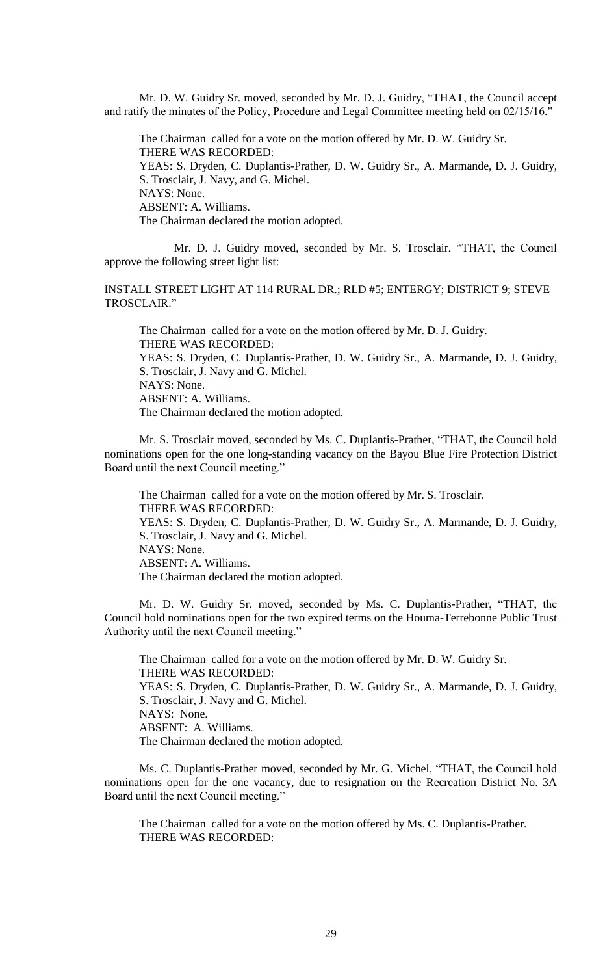Mr. D. W. Guidry Sr. moved, seconded by Mr. D. J. Guidry, "THAT, the Council accept and ratify the minutes of the Policy, Procedure and Legal Committee meeting held on 02/15/16."

The Chairman called for a vote on the motion offered by Mr. D. W. Guidry Sr. THERE WAS RECORDED: YEAS: S. Dryden, C. Duplantis-Prather, D. W. Guidry Sr., A. Marmande, D. J. Guidry, S. Trosclair, J. Navy, and G. Michel. NAYS: None. ABSENT: A. Williams. The Chairman declared the motion adopted.

Mr. D. J. Guidry moved, seconded by Mr. S. Trosclair, "THAT, the Council approve the following street light list:

INSTALL STREET LIGHT AT 114 RURAL DR.; RLD #5; ENTERGY; DISTRICT 9; STEVE TROSCLAIR."

The Chairman called for a vote on the motion offered by Mr. D. J. Guidry. THERE WAS RECORDED: YEAS: S. Dryden, C. Duplantis-Prather, D. W. Guidry Sr., A. Marmande, D. J. Guidry, S. Trosclair, J. Navy and G. Michel. NAYS: None. ABSENT: A. Williams. The Chairman declared the motion adopted.

Mr. S. Trosclair moved, seconded by Ms. C. Duplantis-Prather, "THAT, the Council hold nominations open for the one long-standing vacancy on the Bayou Blue Fire Protection District Board until the next Council meeting."

The Chairman called for a vote on the motion offered by Mr. S. Trosclair. THERE WAS RECORDED: YEAS: S. Dryden, C. Duplantis-Prather, D. W. Guidry Sr., A. Marmande, D. J. Guidry, S. Trosclair, J. Navy and G. Michel. NAYS: None. ABSENT: A. Williams. The Chairman declared the motion adopted.

Mr. D. W. Guidry Sr. moved, seconded by Ms. C. Duplantis-Prather, "THAT, the Council hold nominations open for the two expired terms on the Houma-Terrebonne Public Trust Authority until the next Council meeting."

The Chairman called for a vote on the motion offered by Mr. D. W. Guidry Sr. THERE WAS RECORDED: YEAS: S. Dryden, C. Duplantis-Prather, D. W. Guidry Sr., A. Marmande, D. J. Guidry, S. Trosclair, J. Navy and G. Michel. NAYS: None. ABSENT: A. Williams. The Chairman declared the motion adopted.

Ms. C. Duplantis-Prather moved, seconded by Mr. G. Michel, "THAT, the Council hold nominations open for the one vacancy, due to resignation on the Recreation District No. 3A Board until the next Council meeting."

The Chairman called for a vote on the motion offered by Ms. C. Duplantis-Prather. THERE WAS RECORDED: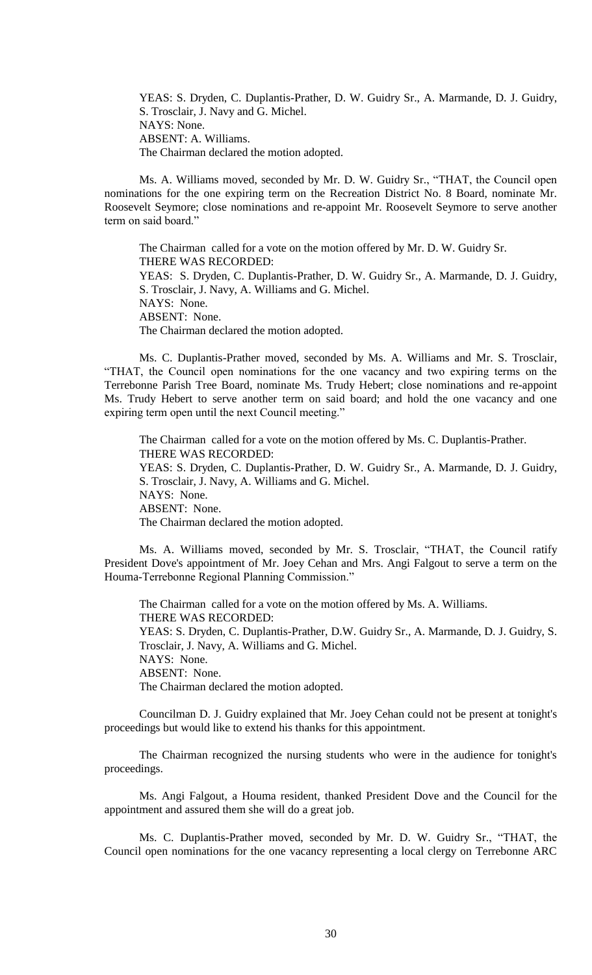YEAS: S. Dryden, C. Duplantis-Prather, D. W. Guidry Sr., A. Marmande, D. J. Guidry, S. Trosclair, J. Navy and G. Michel. NAYS: None. ABSENT: A. Williams. The Chairman declared the motion adopted.

Ms. A. Williams moved, seconded by Mr. D. W. Guidry Sr., "THAT, the Council open nominations for the one expiring term on the Recreation District No. 8 Board, nominate Mr. Roosevelt Seymore; close nominations and re-appoint Mr. Roosevelt Seymore to serve another term on said board."

The Chairman called for a vote on the motion offered by Mr. D. W. Guidry Sr. THERE WAS RECORDED: YEAS: S. Dryden, C. Duplantis-Prather, D. W. Guidry Sr., A. Marmande, D. J. Guidry, S. Trosclair, J. Navy, A. Williams and G. Michel. NAYS: None. ABSENT: None. The Chairman declared the motion adopted.

Ms. C. Duplantis-Prather moved, seconded by Ms. A. Williams and Mr. S. Trosclair, "THAT, the Council open nominations for the one vacancy and two expiring terms on the Terrebonne Parish Tree Board, nominate Ms. Trudy Hebert; close nominations and re-appoint Ms. Trudy Hebert to serve another term on said board; and hold the one vacancy and one expiring term open until the next Council meeting."

The Chairman called for a vote on the motion offered by Ms. C. Duplantis-Prather. THERE WAS RECORDED: YEAS: S. Dryden, C. Duplantis-Prather, D. W. Guidry Sr., A. Marmande, D. J. Guidry, S. Trosclair, J. Navy, A. Williams and G. Michel. NAYS: None. ABSENT: None. The Chairman declared the motion adopted.

Ms. A. Williams moved, seconded by Mr. S. Trosclair, "THAT, the Council ratify President Dove's appointment of Mr. Joey Cehan and Mrs. Angi Falgout to serve a term on the Houma-Terrebonne Regional Planning Commission."

The Chairman called for a vote on the motion offered by Ms. A. Williams. THERE WAS RECORDED: YEAS: S. Dryden, C. Duplantis-Prather, D.W. Guidry Sr., A. Marmande, D. J. Guidry, S. Trosclair, J. Navy, A. Williams and G. Michel. NAYS: None. ABSENT: None. The Chairman declared the motion adopted.

Councilman D. J. Guidry explained that Mr. Joey Cehan could not be present at tonight's proceedings but would like to extend his thanks for this appointment.

The Chairman recognized the nursing students who were in the audience for tonight's proceedings.

Ms. Angi Falgout, a Houma resident, thanked President Dove and the Council for the appointment and assured them she will do a great job.

Ms. C. Duplantis-Prather moved, seconded by Mr. D. W. Guidry Sr., "THAT, the Council open nominations for the one vacancy representing a local clergy on Terrebonne ARC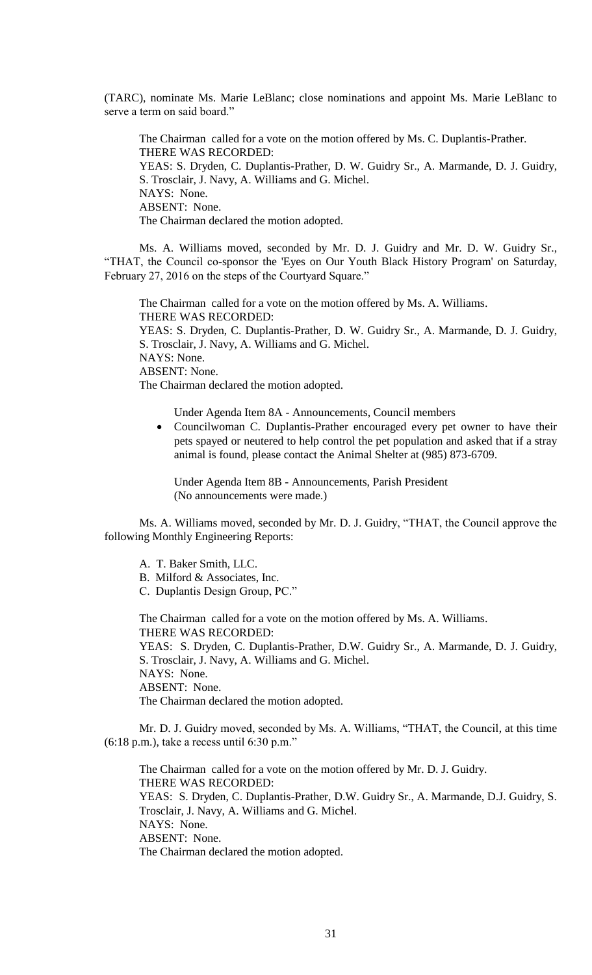(TARC), nominate Ms. Marie LeBlanc; close nominations and appoint Ms. Marie LeBlanc to serve a term on said board."

The Chairman called for a vote on the motion offered by Ms. C. Duplantis-Prather. THERE WAS RECORDED: YEAS: S. Dryden, C. Duplantis-Prather, D. W. Guidry Sr., A. Marmande, D. J. Guidry, S. Trosclair, J. Navy, A. Williams and G. Michel. NAYS: None. ABSENT: None. The Chairman declared the motion adopted.

Ms. A. Williams moved, seconded by Mr. D. J. Guidry and Mr. D. W. Guidry Sr., "THAT, the Council co-sponsor the 'Eyes on Our Youth Black History Program' on Saturday, February 27, 2016 on the steps of the Courtyard Square."

The Chairman called for a vote on the motion offered by Ms. A. Williams. THERE WAS RECORDED: YEAS: S. Dryden, C. Duplantis-Prather, D. W. Guidry Sr., A. Marmande, D. J. Guidry, S. Trosclair, J. Navy, A. Williams and G. Michel. NAYS: None. ABSENT: None. The Chairman declared the motion adopted.

Under Agenda Item 8A - Announcements, Council members

• Councilwoman C. Duplantis-Prather encouraged every pet owner to have their pets spayed or neutered to help control the pet population and asked that if a stray animal is found, please contact the Animal Shelter at (985) 873-6709.

Under Agenda Item 8B - Announcements, Parish President (No announcements were made.)

Ms. A. Williams moved, seconded by Mr. D. J. Guidry, "THAT, the Council approve the following Monthly Engineering Reports:

A. T. Baker Smith, LLC.

- B. Milford & Associates, Inc.
- C. Duplantis Design Group, PC."

The Chairman called for a vote on the motion offered by Ms. A. Williams. THERE WAS RECORDED:

YEAS: S. Dryden, C. Duplantis-Prather, D.W. Guidry Sr., A. Marmande, D. J. Guidry, S. Trosclair, J. Navy, A. Williams and G. Michel. NAYS: None.

ABSENT: None.

The Chairman declared the motion adopted.

Mr. D. J. Guidry moved, seconded by Ms. A. Williams, "THAT, the Council, at this time (6:18 p.m.), take a recess until 6:30 p.m."

The Chairman called for a vote on the motion offered by Mr. D. J. Guidry. THERE WAS RECORDED: YEAS: S. Dryden, C. Duplantis-Prather, D.W. Guidry Sr., A. Marmande, D.J. Guidry, S. Trosclair, J. Navy, A. Williams and G. Michel. NAYS: None. ABSENT: None. The Chairman declared the motion adopted.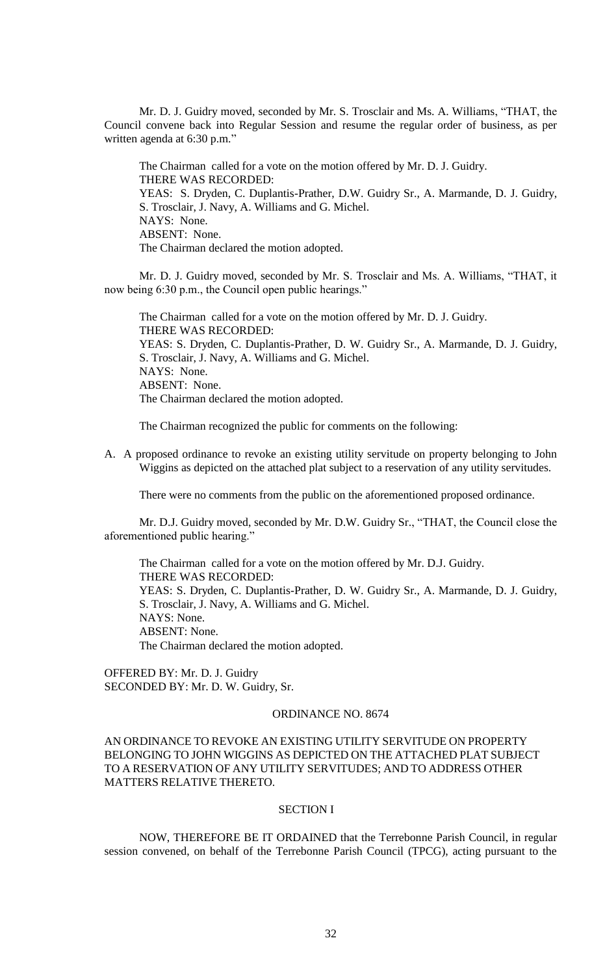Mr. D. J. Guidry moved, seconded by Mr. S. Trosclair and Ms. A. Williams, "THAT, the Council convene back into Regular Session and resume the regular order of business, as per written agenda at 6:30 p.m."

The Chairman called for a vote on the motion offered by Mr. D. J. Guidry. THERE WAS RECORDED: YEAS: S. Dryden, C. Duplantis-Prather, D.W. Guidry Sr., A. Marmande, D. J. Guidry, S. Trosclair, J. Navy, A. Williams and G. Michel. NAYS: None. ABSENT: None. The Chairman declared the motion adopted.

Mr. D. J. Guidry moved, seconded by Mr. S. Trosclair and Ms. A. Williams, "THAT, it now being 6:30 p.m., the Council open public hearings."

The Chairman called for a vote on the motion offered by Mr. D. J. Guidry. THERE WAS RECORDED: YEAS: S. Dryden, C. Duplantis-Prather, D. W. Guidry Sr., A. Marmande, D. J. Guidry, S. Trosclair, J. Navy, A. Williams and G. Michel. NAYS: None. ABSENT: None. The Chairman declared the motion adopted.

The Chairman recognized the public for comments on the following:

A. A proposed ordinance to revoke an existing utility servitude on property belonging to John Wiggins as depicted on the attached plat subject to a reservation of any utility servitudes.

There were no comments from the public on the aforementioned proposed ordinance.

Mr. D.J. Guidry moved, seconded by Mr. D.W. Guidry Sr., "THAT, the Council close the aforementioned public hearing."

The Chairman called for a vote on the motion offered by Mr. D.J. Guidry. THERE WAS RECORDED: YEAS: S. Dryden, C. Duplantis-Prather, D. W. Guidry Sr., A. Marmande, D. J. Guidry, S. Trosclair, J. Navy, A. Williams and G. Michel. NAYS: None. ABSENT: None. The Chairman declared the motion adopted.

OFFERED BY: Mr. D. J. Guidry SECONDED BY: Mr. D. W. Guidry, Sr.

## ORDINANCE NO. 8674

AN ORDINANCE TO REVOKE AN EXISTING UTILITY SERVITUDE ON PROPERTY BELONGING TO JOHN WIGGINS AS DEPICTED ON THE ATTACHED PLAT SUBJECT TO A RESERVATION OF ANY UTILITY SERVITUDES; AND TO ADDRESS OTHER MATTERS RELATIVE THERETO.

## SECTION I

NOW, THEREFORE BE IT ORDAINED that the Terrebonne Parish Council, in regular session convened, on behalf of the Terrebonne Parish Council (TPCG), acting pursuant to the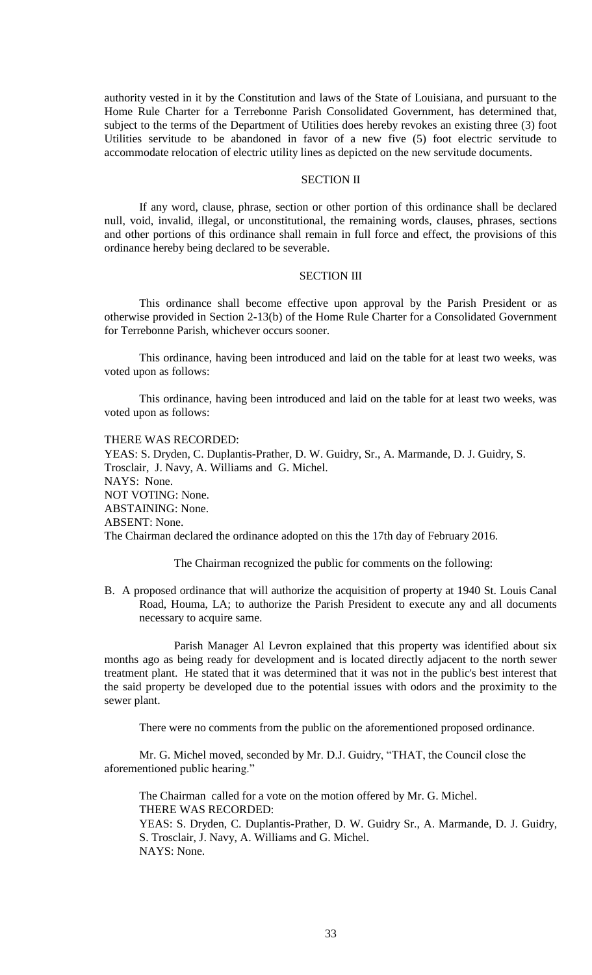authority vested in it by the Constitution and laws of the State of Louisiana, and pursuant to the Home Rule Charter for a Terrebonne Parish Consolidated Government, has determined that, subject to the terms of the Department of Utilities does hereby revokes an existing three (3) foot Utilities servitude to be abandoned in favor of a new five (5) foot electric servitude to accommodate relocation of electric utility lines as depicted on the new servitude documents.

## SECTION II

If any word, clause, phrase, section or other portion of this ordinance shall be declared null, void, invalid, illegal, or unconstitutional, the remaining words, clauses, phrases, sections and other portions of this ordinance shall remain in full force and effect, the provisions of this ordinance hereby being declared to be severable.

#### SECTION III

This ordinance shall become effective upon approval by the Parish President or as otherwise provided in Section 2-13(b) of the Home Rule Charter for a Consolidated Government for Terrebonne Parish, whichever occurs sooner.

This ordinance, having been introduced and laid on the table for at least two weeks, was voted upon as follows:

This ordinance, having been introduced and laid on the table for at least two weeks, was voted upon as follows:

#### THERE WAS RECORDED:

YEAS: S. Dryden, C. Duplantis-Prather, D. W. Guidry, Sr., A. Marmande, D. J. Guidry, S. Trosclair, J. Navy, A. Williams and G. Michel. NAYS: None. NOT VOTING: None. ABSTAINING: None. ABSENT: None. The Chairman declared the ordinance adopted on this the 17th day of February 2016.

The Chairman recognized the public for comments on the following:

B. A proposed ordinance that will authorize the acquisition of property at 1940 St. Louis Canal Road, Houma, LA; to authorize the Parish President to execute any and all documents necessary to acquire same.

Parish Manager Al Levron explained that this property was identified about six months ago as being ready for development and is located directly adjacent to the north sewer treatment plant. He stated that it was determined that it was not in the public's best interest that the said property be developed due to the potential issues with odors and the proximity to the sewer plant.

There were no comments from the public on the aforementioned proposed ordinance.

Mr. G. Michel moved, seconded by Mr. D.J. Guidry, "THAT, the Council close the aforementioned public hearing."

The Chairman called for a vote on the motion offered by Mr. G. Michel. THERE WAS RECORDED: YEAS: S. Dryden, C. Duplantis-Prather, D. W. Guidry Sr., A. Marmande, D. J. Guidry,

S. Trosclair, J. Navy, A. Williams and G. Michel. NAYS: None.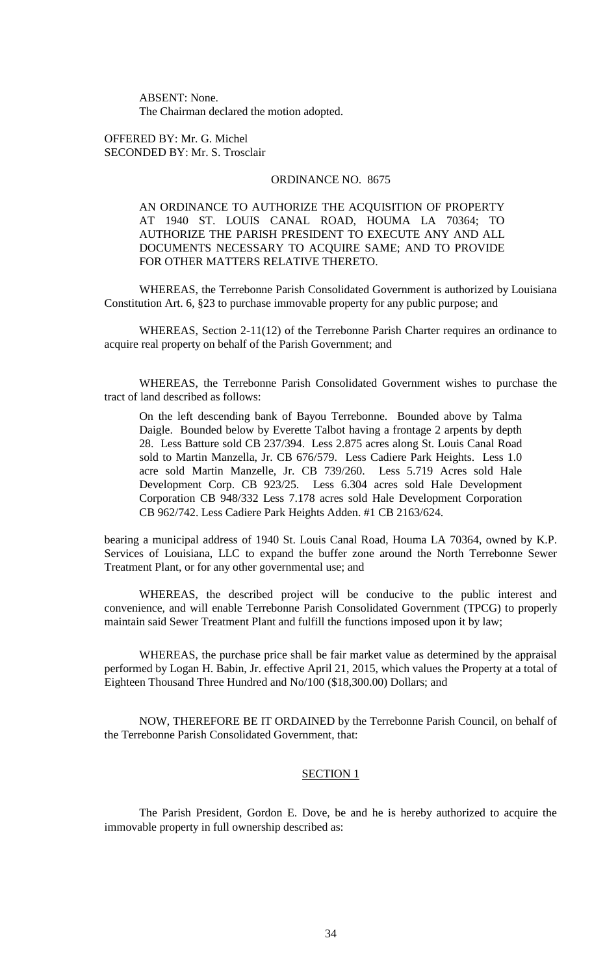ABSENT: None. The Chairman declared the motion adopted.

OFFERED BY: Mr. G. Michel SECONDED BY: Mr. S. Trosclair

## ORDINANCE NO. 8675

AN ORDINANCE TO AUTHORIZE THE ACQUISITION OF PROPERTY AT 1940 ST. LOUIS CANAL ROAD, HOUMA LA 70364; TO AUTHORIZE THE PARISH PRESIDENT TO EXECUTE ANY AND ALL DOCUMENTS NECESSARY TO ACQUIRE SAME; AND TO PROVIDE FOR OTHER MATTERS RELATIVE THERETO.

WHEREAS, the Terrebonne Parish Consolidated Government is authorized by Louisiana Constitution Art. 6, §23 to purchase immovable property for any public purpose; and

WHEREAS, Section 2-11(12) of the Terrebonne Parish Charter requires an ordinance to acquire real property on behalf of the Parish Government; and

WHEREAS, the Terrebonne Parish Consolidated Government wishes to purchase the tract of land described as follows:

On the left descending bank of Bayou Terrebonne. Bounded above by Talma Daigle. Bounded below by Everette Talbot having a frontage 2 arpents by depth 28. Less Batture sold CB 237/394. Less 2.875 acres along St. Louis Canal Road sold to Martin Manzella, Jr. CB 676/579. Less Cadiere Park Heights. Less 1.0 acre sold Martin Manzelle, Jr. CB 739/260. Less 5.719 Acres sold Hale Development Corp. CB 923/25. Less 6.304 acres sold Hale Development Corporation CB 948/332 Less 7.178 acres sold Hale Development Corporation CB 962/742. Less Cadiere Park Heights Adden. #1 CB 2163/624.

bearing a municipal address of 1940 St. Louis Canal Road, Houma LA 70364, owned by K.P. Services of Louisiana, LLC to expand the buffer zone around the North Terrebonne Sewer Treatment Plant, or for any other governmental use; and

WHEREAS, the described project will be conducive to the public interest and convenience, and will enable Terrebonne Parish Consolidated Government (TPCG) to properly maintain said Sewer Treatment Plant and fulfill the functions imposed upon it by law;

WHEREAS, the purchase price shall be fair market value as determined by the appraisal performed by Logan H. Babin, Jr. effective April 21, 2015, which values the Property at a total of Eighteen Thousand Three Hundred and No/100 (\$18,300.00) Dollars; and

NOW, THEREFORE BE IT ORDAINED by the Terrebonne Parish Council, on behalf of the Terrebonne Parish Consolidated Government, that:

#### SECTION 1

The Parish President, Gordon E. Dove, be and he is hereby authorized to acquire the immovable property in full ownership described as: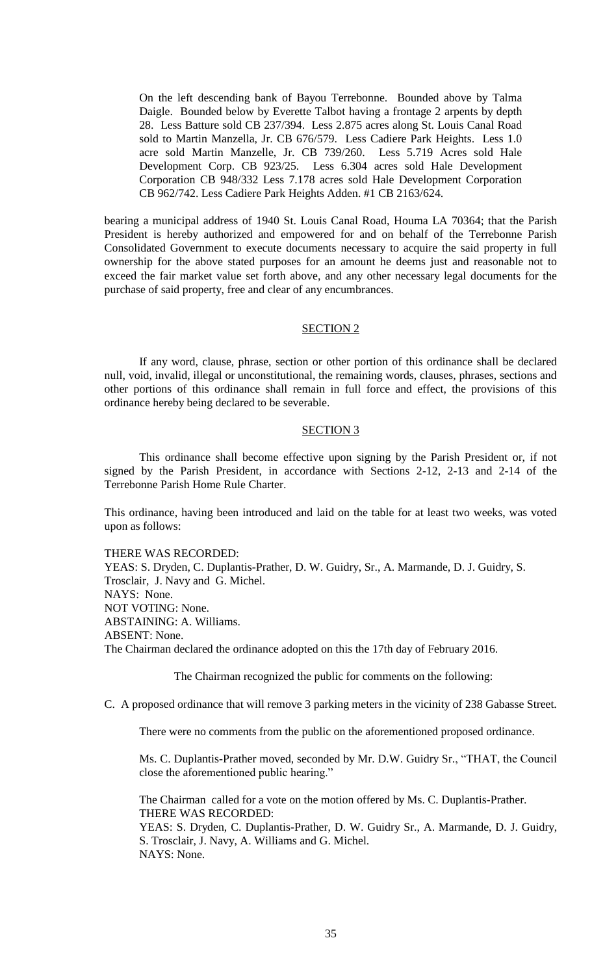On the left descending bank of Bayou Terrebonne. Bounded above by Talma Daigle. Bounded below by Everette Talbot having a frontage 2 arpents by depth 28. Less Batture sold CB 237/394. Less 2.875 acres along St. Louis Canal Road sold to Martin Manzella, Jr. CB 676/579. Less Cadiere Park Heights. Less 1.0 acre sold Martin Manzelle, Jr. CB 739/260. Less 5.719 Acres sold Hale Development Corp. CB 923/25. Less 6.304 acres sold Hale Development Corporation CB 948/332 Less 7.178 acres sold Hale Development Corporation CB 962/742. Less Cadiere Park Heights Adden. #1 CB 2163/624.

bearing a municipal address of 1940 St. Louis Canal Road, Houma LA 70364; that the Parish President is hereby authorized and empowered for and on behalf of the Terrebonne Parish Consolidated Government to execute documents necessary to acquire the said property in full ownership for the above stated purposes for an amount he deems just and reasonable not to exceed the fair market value set forth above, and any other necessary legal documents for the purchase of said property, free and clear of any encumbrances.

#### SECTION 2

If any word, clause, phrase, section or other portion of this ordinance shall be declared null, void, invalid, illegal or unconstitutional, the remaining words, clauses, phrases, sections and other portions of this ordinance shall remain in full force and effect, the provisions of this ordinance hereby being declared to be severable.

#### SECTION 3

This ordinance shall become effective upon signing by the Parish President or, if not signed by the Parish President, in accordance with Sections 2-12, 2-13 and 2-14 of the Terrebonne Parish Home Rule Charter.

This ordinance, having been introduced and laid on the table for at least two weeks, was voted upon as follows:

THERE WAS RECORDED:

YEAS: S. Dryden, C. Duplantis-Prather, D. W. Guidry, Sr., A. Marmande, D. J. Guidry, S. Trosclair, J. Navy and G. Michel. NAYS: None. NOT VOTING: None. ABSTAINING: A. Williams. ABSENT: None. The Chairman declared the ordinance adopted on this the 17th day of February 2016.

The Chairman recognized the public for comments on the following:

C. A proposed ordinance that will remove 3 parking meters in the vicinity of 238 Gabasse Street.

There were no comments from the public on the aforementioned proposed ordinance.

Ms. C. Duplantis-Prather moved, seconded by Mr. D.W. Guidry Sr., "THAT, the Council close the aforementioned public hearing."

The Chairman called for a vote on the motion offered by Ms. C. Duplantis-Prather. THERE WAS RECORDED:

YEAS: S. Dryden, C. Duplantis-Prather, D. W. Guidry Sr., A. Marmande, D. J. Guidry, S. Trosclair, J. Navy, A. Williams and G. Michel. NAYS: None.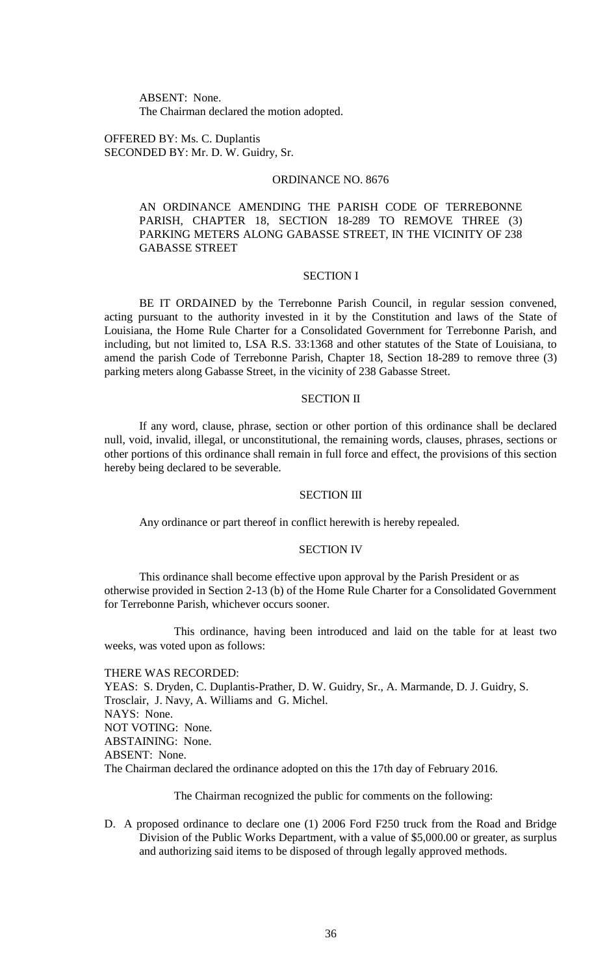ABSENT: None. The Chairman declared the motion adopted.

OFFERED BY: Ms. C. Duplantis SECONDED BY: Mr. D. W. Guidry, Sr.

## ORDINANCE NO. 8676

AN ORDINANCE AMENDING THE PARISH CODE OF TERREBONNE PARISH, CHAPTER 18, SECTION 18-289 TO REMOVE THREE (3) PARKING METERS ALONG GABASSE STREET, IN THE VICINITY OF 238 GABASSE STREET

#### SECTION I

BE IT ORDAINED by the Terrebonne Parish Council, in regular session convened, acting pursuant to the authority invested in it by the Constitution and laws of the State of Louisiana, the Home Rule Charter for a Consolidated Government for Terrebonne Parish, and including, but not limited to, LSA R.S. 33:1368 and other statutes of the State of Louisiana, to amend the parish Code of Terrebonne Parish, Chapter 18, Section 18-289 to remove three (3) parking meters along Gabasse Street, in the vicinity of 238 Gabasse Street.

#### SECTION II

If any word, clause, phrase, section or other portion of this ordinance shall be declared null, void, invalid, illegal, or unconstitutional, the remaining words, clauses, phrases, sections or other portions of this ordinance shall remain in full force and effect, the provisions of this section hereby being declared to be severable.

#### SECTION III

Any ordinance or part thereof in conflict herewith is hereby repealed.

#### SECTION IV

This ordinance shall become effective upon approval by the Parish President or as otherwise provided in Section 2-13 (b) of the Home Rule Charter for a Consolidated Government for Terrebonne Parish, whichever occurs sooner.

This ordinance, having been introduced and laid on the table for at least two weeks, was voted upon as follows:

THERE WAS RECORDED: YEAS: S. Dryden, C. Duplantis-Prather, D. W. Guidry, Sr., A. Marmande, D. J. Guidry, S. Trosclair, J. Navy, A. Williams and G. Michel. NAYS: None. NOT VOTING: None. ABSTAINING: None. ABSENT: None. The Chairman declared the ordinance adopted on this the 17th day of February 2016.

The Chairman recognized the public for comments on the following:

D. A proposed ordinance to declare one (1) 2006 Ford F250 truck from the Road and Bridge Division of the Public Works Department, with a value of \$5,000.00 or greater, as surplus and authorizing said items to be disposed of through legally approved methods.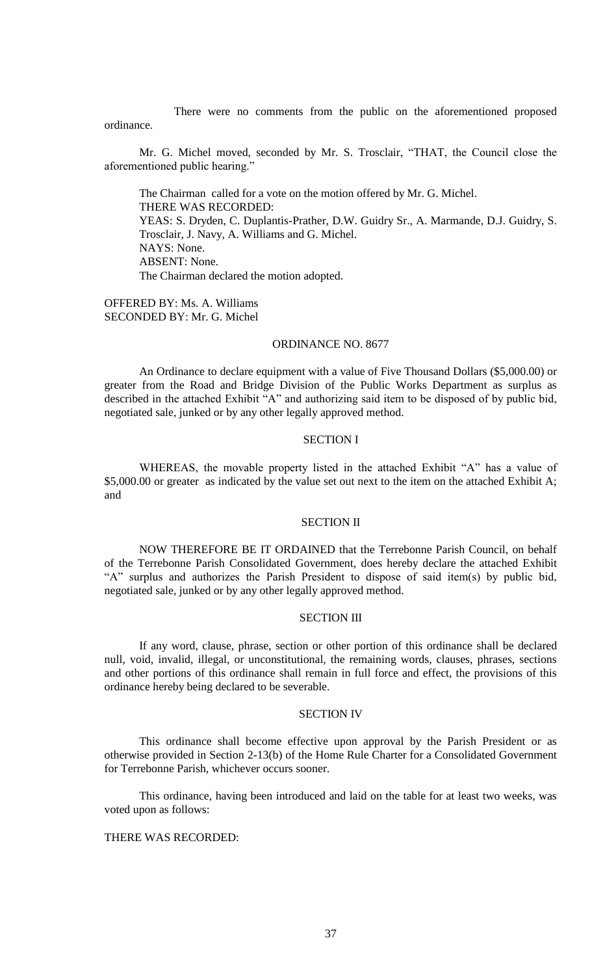There were no comments from the public on the aforementioned proposed ordinance.

Mr. G. Michel moved, seconded by Mr. S. Trosclair, "THAT, the Council close the aforementioned public hearing."

The Chairman called for a vote on the motion offered by Mr. G. Michel. THERE WAS RECORDED: YEAS: S. Dryden, C. Duplantis-Prather, D.W. Guidry Sr., A. Marmande, D.J. Guidry, S. Trosclair, J. Navy, A. Williams and G. Michel. NAYS: None. ABSENT: None. The Chairman declared the motion adopted.

OFFERED BY: Ms. A. Williams SECONDED BY: Mr. G. Michel

#### ORDINANCE NO. 8677

An Ordinance to declare equipment with a value of Five Thousand Dollars (\$5,000.00) or greater from the Road and Bridge Division of the Public Works Department as surplus as described in the attached Exhibit "A" and authorizing said item to be disposed of by public bid, negotiated sale, junked or by any other legally approved method.

## SECTION I

WHEREAS, the movable property listed in the attached Exhibit "A" has a value of \$5,000.00 or greater as indicated by the value set out next to the item on the attached Exhibit A; and

### SECTION II

NOW THEREFORE BE IT ORDAINED that the Terrebonne Parish Council, on behalf of the Terrebonne Parish Consolidated Government, does hereby declare the attached Exhibit "A" surplus and authorizes the Parish President to dispose of said item(s) by public bid, negotiated sale, junked or by any other legally approved method.

#### SECTION III

If any word, clause, phrase, section or other portion of this ordinance shall be declared null, void, invalid, illegal, or unconstitutional, the remaining words, clauses, phrases, sections and other portions of this ordinance shall remain in full force and effect, the provisions of this ordinance hereby being declared to be severable.

#### SECTION IV

This ordinance shall become effective upon approval by the Parish President or as otherwise provided in Section 2-13(b) of the Home Rule Charter for a Consolidated Government for Terrebonne Parish, whichever occurs sooner.

This ordinance, having been introduced and laid on the table for at least two weeks, was voted upon as follows:

## THERE WAS RECORDED: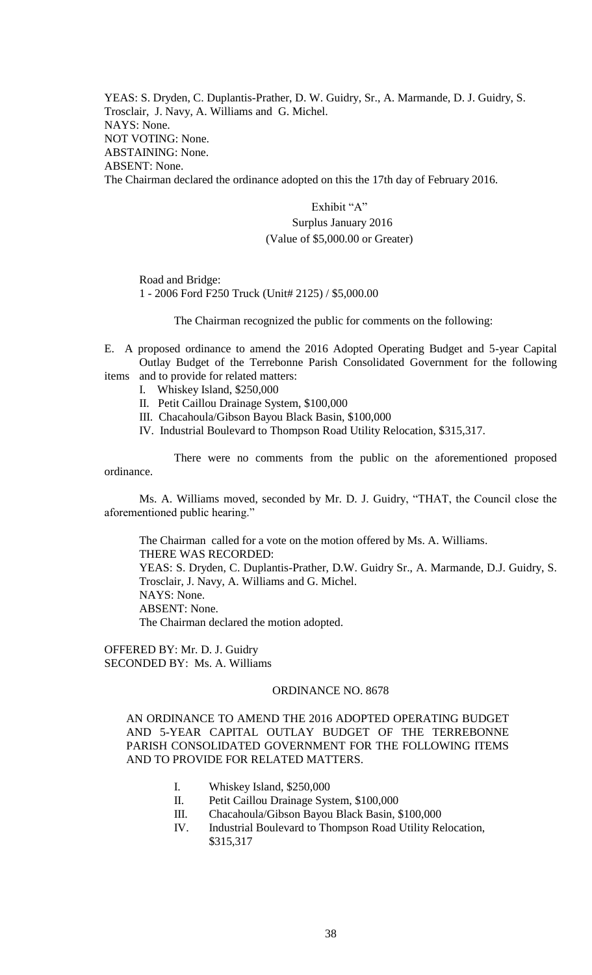YEAS: S. Dryden, C. Duplantis-Prather, D. W. Guidry, Sr., A. Marmande, D. J. Guidry, S. Trosclair, J. Navy, A. Williams and G. Michel. NAYS: None. NOT VOTING: None. ABSTAINING: None. ABSENT: None. The Chairman declared the ordinance adopted on this the 17th day of February 2016.

> Exhibit "A" Surplus January 2016 (Value of \$5,000.00 or Greater)

Road and Bridge: 1 - 2006 Ford F250 Truck (Unit# 2125) / \$5,000.00

The Chairman recognized the public for comments on the following:

E. A proposed ordinance to amend the 2016 Adopted Operating Budget and 5-year Capital Outlay Budget of the Terrebonne Parish Consolidated Government for the following items and to provide for related matters:

- I. Whiskey Island, \$250,000
- II. Petit Caillou Drainage System, \$100,000
- III. Chacahoula/Gibson Bayou Black Basin, \$100,000
- IV. Industrial Boulevard to Thompson Road Utility Relocation, \$315,317.

There were no comments from the public on the aforementioned proposed ordinance.

Ms. A. Williams moved, seconded by Mr. D. J. Guidry, "THAT, the Council close the aforementioned public hearing."

The Chairman called for a vote on the motion offered by Ms. A. Williams. THERE WAS RECORDED: YEAS: S. Dryden, C. Duplantis-Prather, D.W. Guidry Sr., A. Marmande, D.J. Guidry, S. Trosclair, J. Navy, A. Williams and G. Michel. NAYS: None. ABSENT: None. The Chairman declared the motion adopted.

OFFERED BY: Mr. D. J. Guidry SECONDED BY: Ms. A. Williams

#### ORDINANCE NO. 8678

AN ORDINANCE TO AMEND THE 2016 ADOPTED OPERATING BUDGET AND 5-YEAR CAPITAL OUTLAY BUDGET OF THE TERREBONNE PARISH CONSOLIDATED GOVERNMENT FOR THE FOLLOWING ITEMS AND TO PROVIDE FOR RELATED MATTERS.

- I. Whiskey Island, \$250,000
- II. Petit Caillou Drainage System, \$100,000
- III. Chacahoula/Gibson Bayou Black Basin, \$100,000
- IV. Industrial Boulevard to Thompson Road Utility Relocation, \$315,317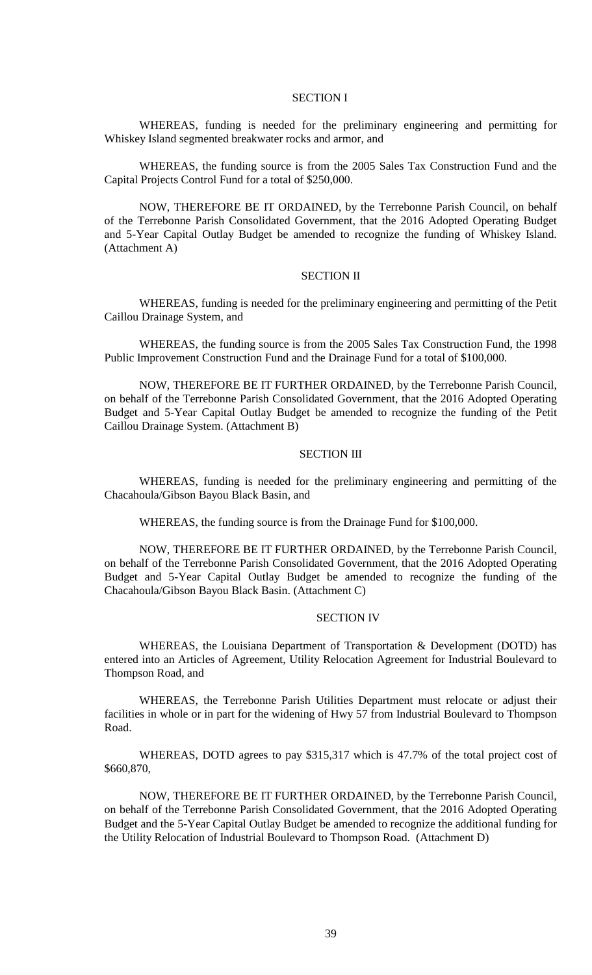#### SECTION I

WHEREAS, funding is needed for the preliminary engineering and permitting for Whiskey Island segmented breakwater rocks and armor, and

WHEREAS, the funding source is from the 2005 Sales Tax Construction Fund and the Capital Projects Control Fund for a total of \$250,000.

NOW, THEREFORE BE IT ORDAINED, by the Terrebonne Parish Council, on behalf of the Terrebonne Parish Consolidated Government, that the 2016 Adopted Operating Budget and 5-Year Capital Outlay Budget be amended to recognize the funding of Whiskey Island. (Attachment A)

#### SECTION II

WHEREAS, funding is needed for the preliminary engineering and permitting of the Petit Caillou Drainage System, and

WHEREAS, the funding source is from the 2005 Sales Tax Construction Fund, the 1998 Public Improvement Construction Fund and the Drainage Fund for a total of \$100,000.

NOW, THEREFORE BE IT FURTHER ORDAINED, by the Terrebonne Parish Council, on behalf of the Terrebonne Parish Consolidated Government, that the 2016 Adopted Operating Budget and 5-Year Capital Outlay Budget be amended to recognize the funding of the Petit Caillou Drainage System. (Attachment B)

#### SECTION III

WHEREAS, funding is needed for the preliminary engineering and permitting of the Chacahoula/Gibson Bayou Black Basin, and

WHEREAS, the funding source is from the Drainage Fund for \$100,000.

NOW, THEREFORE BE IT FURTHER ORDAINED, by the Terrebonne Parish Council, on behalf of the Terrebonne Parish Consolidated Government, that the 2016 Adopted Operating Budget and 5-Year Capital Outlay Budget be amended to recognize the funding of the Chacahoula/Gibson Bayou Black Basin. (Attachment C)

#### SECTION IV

WHEREAS, the Louisiana Department of Transportation & Development (DOTD) has entered into an Articles of Agreement, Utility Relocation Agreement for Industrial Boulevard to Thompson Road, and

WHEREAS, the Terrebonne Parish Utilities Department must relocate or adjust their facilities in whole or in part for the widening of Hwy 57 from Industrial Boulevard to Thompson Road.

WHEREAS, DOTD agrees to pay \$315,317 which is 47.7% of the total project cost of \$660,870,

NOW, THEREFORE BE IT FURTHER ORDAINED, by the Terrebonne Parish Council, on behalf of the Terrebonne Parish Consolidated Government, that the 2016 Adopted Operating Budget and the 5-Year Capital Outlay Budget be amended to recognize the additional funding for the Utility Relocation of Industrial Boulevard to Thompson Road. (Attachment D)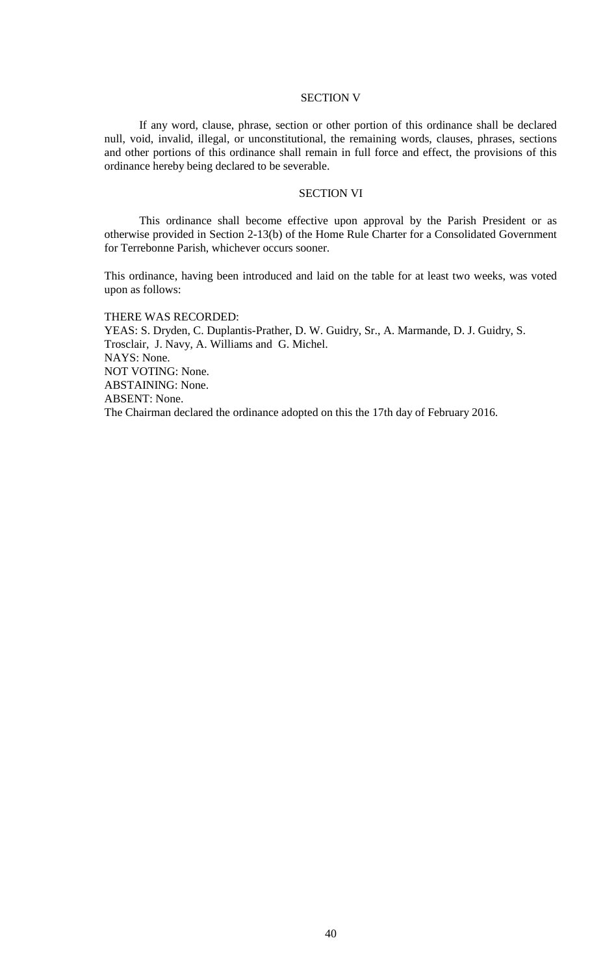#### SECTION V

If any word, clause, phrase, section or other portion of this ordinance shall be declared null, void, invalid, illegal, or unconstitutional, the remaining words, clauses, phrases, sections and other portions of this ordinance shall remain in full force and effect, the provisions of this ordinance hereby being declared to be severable.

## SECTION VI

This ordinance shall become effective upon approval by the Parish President or as otherwise provided in Section 2-13(b) of the Home Rule Charter for a Consolidated Government for Terrebonne Parish, whichever occurs sooner.

This ordinance, having been introduced and laid on the table for at least two weeks, was voted upon as follows:

#### THERE WAS RECORDED:

YEAS: S. Dryden, C. Duplantis-Prather, D. W. Guidry, Sr., A. Marmande, D. J. Guidry, S. Trosclair, J. Navy, A. Williams and G. Michel. NAYS: None. NOT VOTING: None. ABSTAINING: None. ABSENT: None. The Chairman declared the ordinance adopted on this the 17th day of February 2016.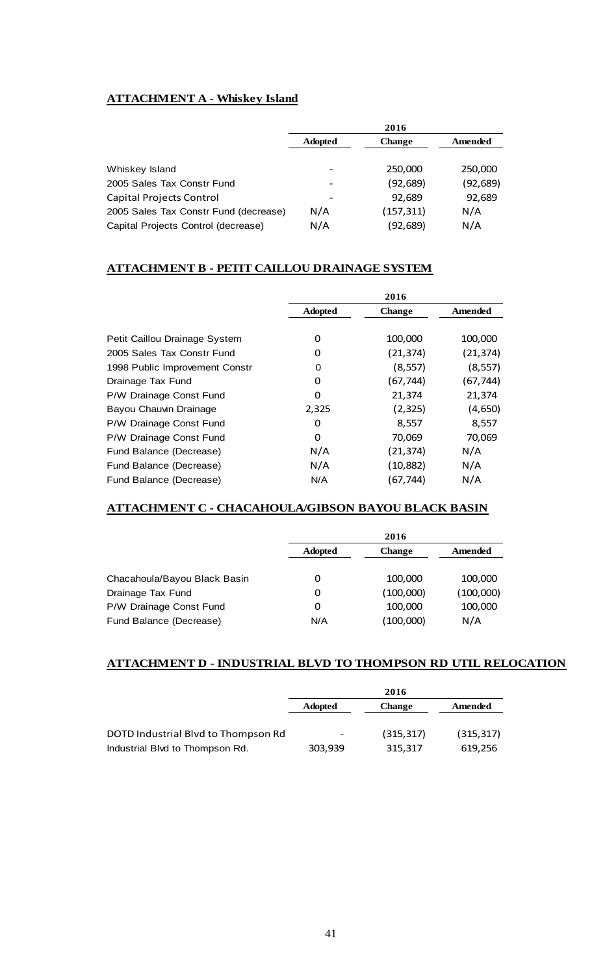# **ATTACHMENT A - Whiskey Island**

|                                       | 2016           |               |           |
|---------------------------------------|----------------|---------------|-----------|
|                                       | <b>Adopted</b> | <b>Change</b> | Amended   |
| Whiskey Island                        |                | 250,000       | 250,000   |
| 2005 Sales Tax Constr Fund            |                | (92, 689)     | (92, 689) |
| Capital Projects Control              |                | 92,689        | 92,689    |
| 2005 Sales Tax Constr Fund (decrease) | N/A            | (157, 311)    | N/A       |
| Capital Projects Control (decrease)   | N/A            | (92,689)      | N/A       |

# **ATTACHMENT B - PETIT CAILLOU DRAINAGE SYSTEM**

|                                | 2016           |               |           |
|--------------------------------|----------------|---------------|-----------|
|                                | <b>Adopted</b> | <b>Change</b> | Amended   |
|                                |                |               |           |
| Petit Caillou Drainage System  | 0              | 100,000       | 100,000   |
| 2005 Sales Tax Constr Fund     | 0              | (21, 374)     | (21, 374) |
| 1998 Public Improvement Constr | 0              | (8, 557)      | (8, 557)  |
| Drainage Tax Fund              | 0              | (67,744)      | (67,744)  |
| P/W Drainage Const Fund        | 0              | 21,374        | 21,374    |
| Bayou Chauvin Drainage         | 2,325          | (2, 325)      | (4,650)   |
| P/W Drainage Const Fund        | 0              | 8,557         | 8,557     |
| P/W Drainage Const Fund        | 0              | 70,069        | 70,069    |
| Fund Balance (Decrease)        | N/A            | (21,374)      | N/A       |
| Fund Balance (Decrease)        | N/A            | (10,882)      | N/A       |
| Fund Balance (Decrease)        | N/A            | (67, 744)     | N/A       |

# **ATTACHMENT C - CHACAHOULA/GIBSON BAYOU BLACK BASIN**

|                              | 2016           |               |           |
|------------------------------|----------------|---------------|-----------|
|                              | <b>Adopted</b> | <b>Change</b> | Amended   |
|                              |                |               |           |
| Chacahoula/Bayou Black Basin | 0              | 100.000       | 100,000   |
| Drainage Tax Fund            | 0              | (100,000)     | (100,000) |
| P/W Drainage Const Fund      | 0              | 100,000       | 100,000   |
| Fund Balance (Decrease)      | N/A            | (100,000)     | N/A       |

# **ATTACHMENT D - INDUSTRIAL BLVD TO THOMPSON RD UTIL RELOCATION**

|                                     | 2016                     |               |            |
|-------------------------------------|--------------------------|---------------|------------|
|                                     | <b>Adopted</b>           | <b>Change</b> | Amended    |
| DOTD Industrial Blvd to Thompson Rd | $\overline{\phantom{a}}$ | (315, 317)    | (315, 317) |
| Industrial Blvd to Thompson Rd.     | 303.939                  | 315.317       | 619.256    |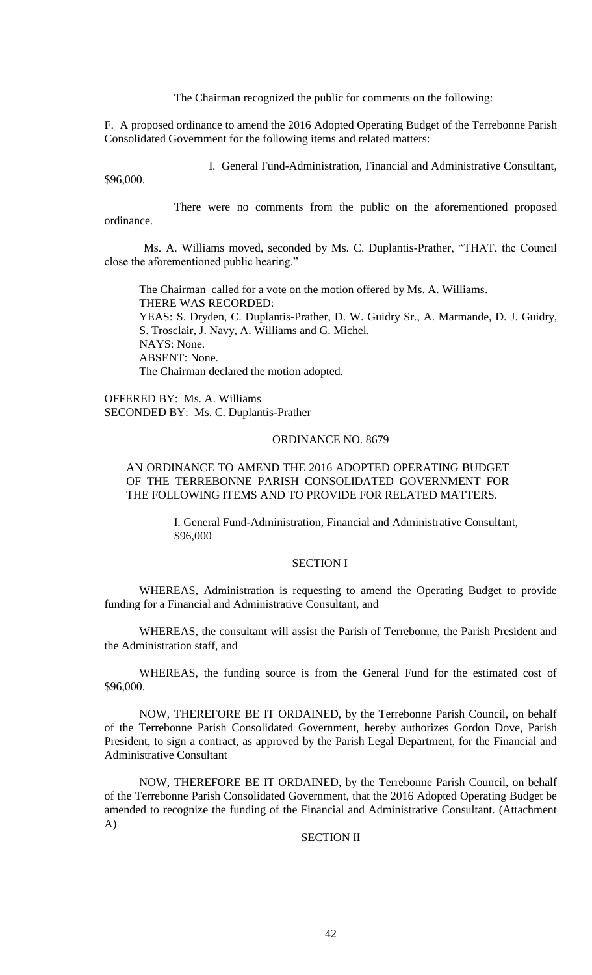The Chairman recognized the public for comments on the following:

F. A proposed ordinance to amend the 2016 Adopted Operating Budget of the Terrebonne Parish Consolidated Government for the following items and related matters:

I. General Fund-Administration, Financial and Administrative Consultant,

\$96,000.

There were no comments from the public on the aforementioned proposed ordinance.

Ms. A. Williams moved, seconded by Ms. C. Duplantis-Prather, "THAT, the Council close the aforementioned public hearing."

The Chairman called for a vote on the motion offered by Ms. A. Williams. THERE WAS RECORDED: YEAS: S. Dryden, C. Duplantis-Prather, D. W. Guidry Sr., A. Marmande, D. J. Guidry, S. Trosclair, J. Navy, A. Williams and G. Michel. NAYS: None. ABSENT: None. The Chairman declared the motion adopted.

OFFERED BY: Ms. A. Williams SECONDED BY: Ms. C. Duplantis-Prather

## ORDINANCE NO. 8679

## AN ORDINANCE TO AMEND THE 2016 ADOPTED OPERATING BUDGET OF THE TERREBONNE PARISH CONSOLIDATED GOVERNMENT FOR THE FOLLOWING ITEMS AND TO PROVIDE FOR RELATED MATTERS.

I. General Fund-Administration, Financial and Administrative Consultant, \$96,000

## SECTION I

WHEREAS, Administration is requesting to amend the Operating Budget to provide funding for a Financial and Administrative Consultant, and

WHEREAS, the consultant will assist the Parish of Terrebonne, the Parish President and the Administration staff, and

WHEREAS, the funding source is from the General Fund for the estimated cost of \$96,000.

NOW, THEREFORE BE IT ORDAINED, by the Terrebonne Parish Council, on behalf of the Terrebonne Parish Consolidated Government, hereby authorizes Gordon Dove, Parish President, to sign a contract, as approved by the Parish Legal Department, for the Financial and Administrative Consultant

NOW, THEREFORE BE IT ORDAINED, by the Terrebonne Parish Council, on behalf of the Terrebonne Parish Consolidated Government, that the 2016 Adopted Operating Budget be amended to recognize the funding of the Financial and Administrative Consultant. (Attachment A)

#### SECTION II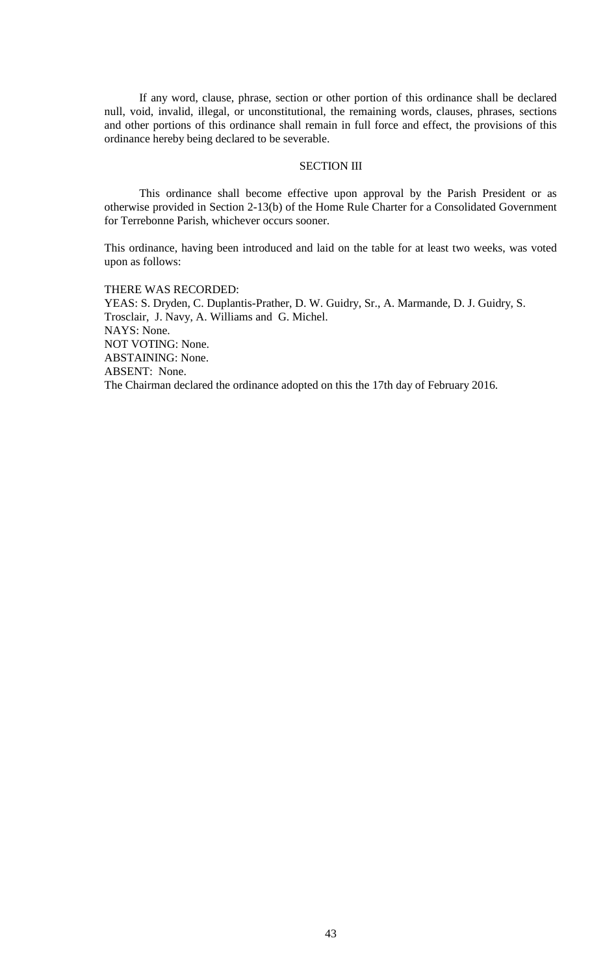If any word, clause, phrase, section or other portion of this ordinance shall be declared null, void, invalid, illegal, or unconstitutional, the remaining words, clauses, phrases, sections and other portions of this ordinance shall remain in full force and effect, the provisions of this ordinance hereby being declared to be severable.

#### SECTION III

This ordinance shall become effective upon approval by the Parish President or as otherwise provided in Section 2-13(b) of the Home Rule Charter for a Consolidated Government for Terrebonne Parish, whichever occurs sooner.

This ordinance, having been introduced and laid on the table for at least two weeks, was voted upon as follows:

THERE WAS RECORDED: YEAS: S. Dryden, C. Duplantis-Prather, D. W. Guidry, Sr., A. Marmande, D. J. Guidry, S. Trosclair, J. Navy, A. Williams and G. Michel. NAYS: None. NOT VOTING: None. ABSTAINING: None. ABSENT: None. The Chairman declared the ordinance adopted on this the 17th day of February 2016.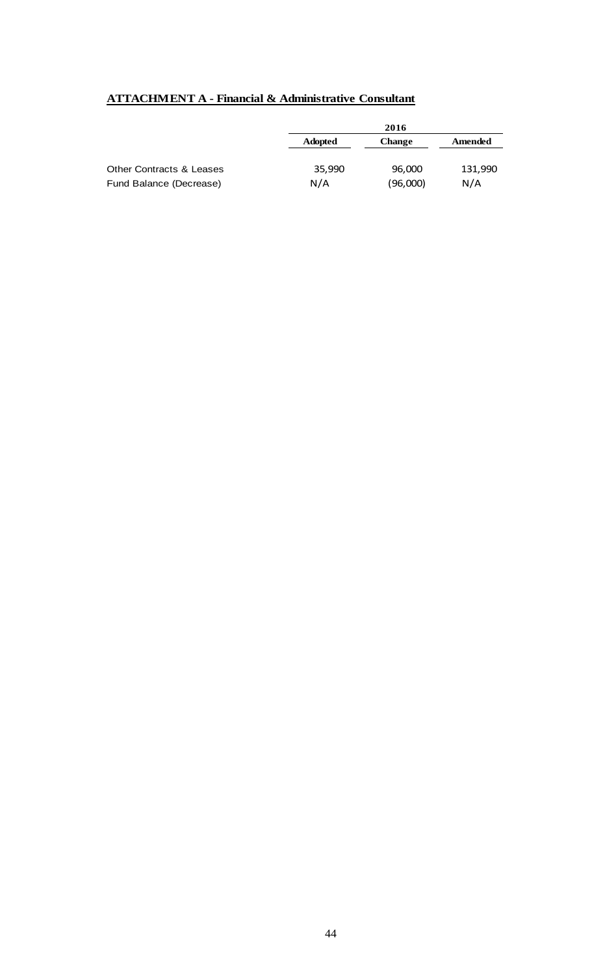# **ATTACHMENT A - Financial & Administrative Consultant**

|                                     |                | 2016          |         |
|-------------------------------------|----------------|---------------|---------|
|                                     | <b>Adopted</b> | <b>Change</b> | Amended |
| <b>Other Contracts &amp; Leases</b> | 35,990         | 96,000        | 131,990 |
| Fund Balance (Decrease)             | N/A            | (96,000)      | N/A     |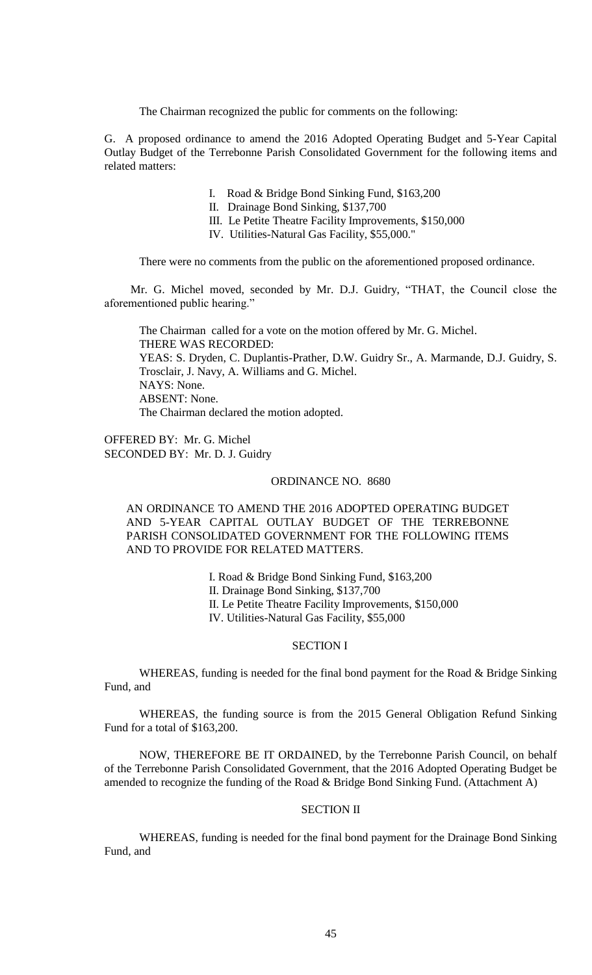The Chairman recognized the public for comments on the following:

G. A proposed ordinance to amend the 2016 Adopted Operating Budget and 5-Year Capital Outlay Budget of the Terrebonne Parish Consolidated Government for the following items and related matters:

- I. Road & Bridge Bond Sinking Fund, \$163,200
- II. Drainage Bond Sinking, \$137,700
- III. Le Petite Theatre Facility Improvements, \$150,000
- IV. Utilities-Natural Gas Facility, \$55,000."

There were no comments from the public on the aforementioned proposed ordinance.

Mr. G. Michel moved, seconded by Mr. D.J. Guidry, "THAT, the Council close the aforementioned public hearing."

The Chairman called for a vote on the motion offered by Mr. G. Michel. THERE WAS RECORDED: YEAS: S. Dryden, C. Duplantis-Prather, D.W. Guidry Sr., A. Marmande, D.J. Guidry, S. Trosclair, J. Navy, A. Williams and G. Michel. NAYS: None. ABSENT: None. The Chairman declared the motion adopted.

OFFERED BY: Mr. G. Michel SECONDED BY: Mr. D. J. Guidry

#### ORDINANCE NO. 8680

## AN ORDINANCE TO AMEND THE 2016 ADOPTED OPERATING BUDGET AND 5-YEAR CAPITAL OUTLAY BUDGET OF THE TERREBONNE PARISH CONSOLIDATED GOVERNMENT FOR THE FOLLOWING ITEMS AND TO PROVIDE FOR RELATED MATTERS.

I. Road & Bridge Bond Sinking Fund, \$163,200 II. Drainage Bond Sinking, \$137,700 II. Le Petite Theatre Facility Improvements, \$150,000 IV. Utilities-Natural Gas Facility, \$55,000

#### SECTION I

WHEREAS, funding is needed for the final bond payment for the Road & Bridge Sinking Fund, and

WHEREAS, the funding source is from the 2015 General Obligation Refund Sinking Fund for a total of \$163,200.

NOW, THEREFORE BE IT ORDAINED, by the Terrebonne Parish Council, on behalf of the Terrebonne Parish Consolidated Government, that the 2016 Adopted Operating Budget be amended to recognize the funding of the Road & Bridge Bond Sinking Fund. (Attachment A)

## SECTION II

WHEREAS, funding is needed for the final bond payment for the Drainage Bond Sinking Fund, and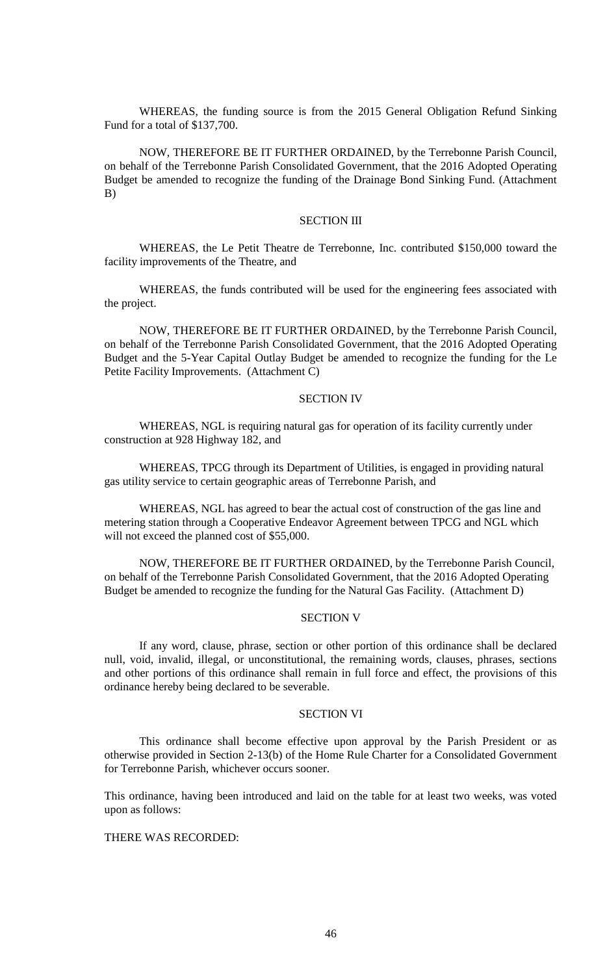WHEREAS, the funding source is from the 2015 General Obligation Refund Sinking Fund for a total of \$137,700.

NOW, THEREFORE BE IT FURTHER ORDAINED, by the Terrebonne Parish Council, on behalf of the Terrebonne Parish Consolidated Government, that the 2016 Adopted Operating Budget be amended to recognize the funding of the Drainage Bond Sinking Fund. (Attachment B)

#### SECTION III

WHEREAS, the Le Petit Theatre de Terrebonne, Inc. contributed \$150,000 toward the facility improvements of the Theatre, and

WHEREAS, the funds contributed will be used for the engineering fees associated with the project.

NOW, THEREFORE BE IT FURTHER ORDAINED, by the Terrebonne Parish Council, on behalf of the Terrebonne Parish Consolidated Government, that the 2016 Adopted Operating Budget and the 5-Year Capital Outlay Budget be amended to recognize the funding for the Le Petite Facility Improvements. (Attachment C)

#### SECTION IV

WHEREAS, NGL is requiring natural gas for operation of its facility currently under construction at 928 Highway 182, and

WHEREAS, TPCG through its Department of Utilities, is engaged in providing natural gas utility service to certain geographic areas of Terrebonne Parish, and

WHEREAS, NGL has agreed to bear the actual cost of construction of the gas line and metering station through a Cooperative Endeavor Agreement between TPCG and NGL which will not exceed the planned cost of \$55,000.

NOW, THEREFORE BE IT FURTHER ORDAINED, by the Terrebonne Parish Council, on behalf of the Terrebonne Parish Consolidated Government, that the 2016 Adopted Operating Budget be amended to recognize the funding for the Natural Gas Facility. (Attachment D)

#### SECTION V

If any word, clause, phrase, section or other portion of this ordinance shall be declared null, void, invalid, illegal, or unconstitutional, the remaining words, clauses, phrases, sections and other portions of this ordinance shall remain in full force and effect, the provisions of this ordinance hereby being declared to be severable.

## SECTION VI

This ordinance shall become effective upon approval by the Parish President or as otherwise provided in Section 2-13(b) of the Home Rule Charter for a Consolidated Government for Terrebonne Parish, whichever occurs sooner.

This ordinance, having been introduced and laid on the table for at least two weeks, was voted upon as follows:

## THERE WAS RECORDED: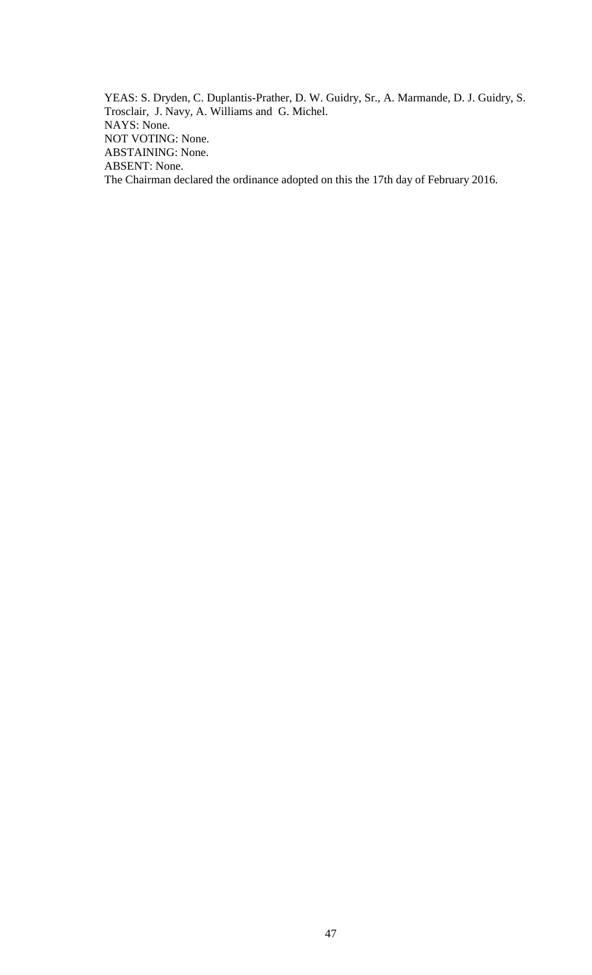YEAS: S. Dryden, C. Duplantis-Prather, D. W. Guidry, Sr., A. Marmande, D. J. Guidry, S. Trosclair, J. Navy, A. Williams and G. Michel. NAYS: None. NOT VOTING: None. ABSTAINING: None. ABSENT: None. The Chairman declared the ordinance adopted on this the 17th day of February 2016.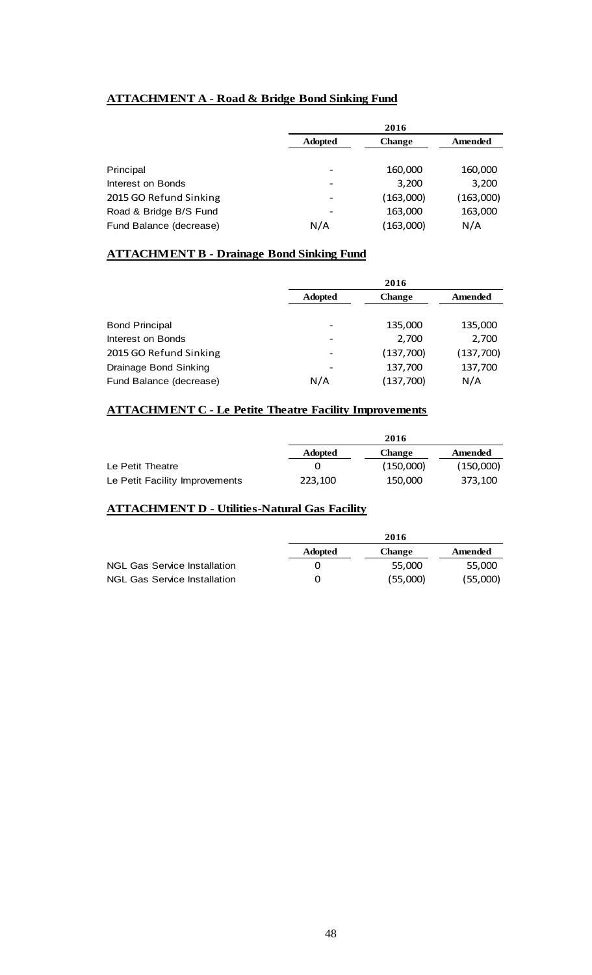# **ATTACHMENT A - Road & Bridge Bond Sinking Fund**

|                         | 2016           |               |           |
|-------------------------|----------------|---------------|-----------|
|                         | <b>Adopted</b> | <b>Change</b> | Amended   |
|                         |                |               |           |
| Principal               |                | 160,000       | 160,000   |
| Interest on Bonds       |                | 3,200         | 3,200     |
| 2015 GO Refund Sinking  |                | (163,000)     | (163,000) |
| Road & Bridge B/S Fund  |                | 163,000       | 163,000   |
| Fund Balance (decrease) | N/A            | (163,000)     | N/A       |

## **ATTACHMENT B - Drainage Bond Sinking Fund**

|                         | 2016                     |               |           |
|-------------------------|--------------------------|---------------|-----------|
|                         | <b>Adopted</b>           | <b>Change</b> | Amended   |
|                         |                          |               |           |
| <b>Bond Principal</b>   | $\overline{\phantom{0}}$ | 135,000       | 135,000   |
| Interest on Bonds       | $\overline{\phantom{a}}$ | 2,700         | 2,700     |
| 2015 GO Refund Sinking  |                          | (137,700)     | (137,700) |
| Drainage Bond Sinking   |                          | 137,700       | 137,700   |
| Fund Balance (decrease) | N/A                      | (137,700)     | N/A       |

# **ATTACHMENT C - Le Petite Theatre Facility Improvements**

|                                |                | 2016          |           |
|--------------------------------|----------------|---------------|-----------|
|                                | <b>Adopted</b> | <b>Change</b> | Amended   |
| Le Petit Theatre               |                | (150,000)     | (150,000) |
| Le Petit Facility Improvements | 223.100        | 150.000       | 373.100   |

## **ATTACHMENT D - Utilities-Natural Gas Facility**

|                                     | 2016           |          |          |
|-------------------------------------|----------------|----------|----------|
|                                     | <b>Adopted</b> | Change   | Amended  |
| <b>NGL Gas Service Installation</b> |                | 55.000   | 55.000   |
| <b>NGL Gas Service Installation</b> | 0              | (55,000) | (55,000) |